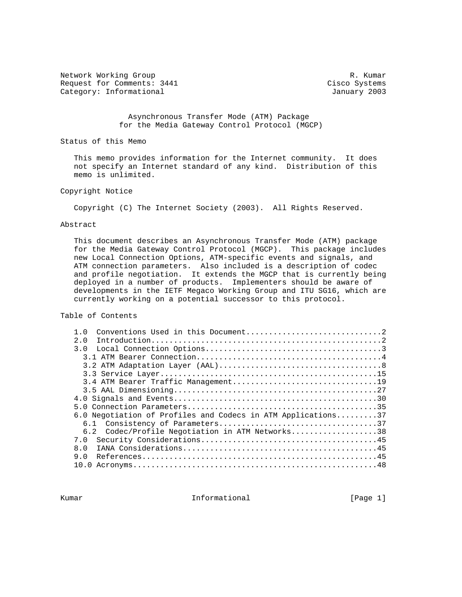Network Working Group and the set of the set of the set of the set of the set of the set of the set of the set of the set of the set of the set of the set of the set of the set of the set of the set of the set of the set o Request for Comments: 3441 Cisco Systems Category: Informational and Category: Informational and Category: Informational

 Asynchronous Transfer Mode (ATM) Package for the Media Gateway Control Protocol (MGCP)

Status of this Memo

 This memo provides information for the Internet community. It does not specify an Internet standard of any kind. Distribution of this memo is unlimited.

Copyright Notice

Copyright (C) The Internet Society (2003). All Rights Reserved.

#### Abstract

 This document describes an Asynchronous Transfer Mode (ATM) package for the Media Gateway Control Protocol (MGCP). This package includes new Local Connection Options, ATM-specific events and signals, and ATM connection parameters. Also included is a description of codec and profile negotiation. It extends the MGCP that is currently being deployed in a number of products. Implementers should be aware of developments in the IETF Megaco Working Group and ITU SG16, which are currently working on a potential successor to this protocol.

Table of Contents

| $1 \Omega$                                                   |
|--------------------------------------------------------------|
| 2.0                                                          |
| 3.0                                                          |
|                                                              |
|                                                              |
|                                                              |
|                                                              |
|                                                              |
|                                                              |
|                                                              |
| 6.0 Negotiation of Profiles and Codecs in ATM Applications37 |
|                                                              |
| 6.2 Codec/Profile Negotiation in ATM Networks38              |
| 7.0                                                          |
| 8.0                                                          |
| 9 N                                                          |
|                                                              |

Kumar **Informational Informational Informational [Page 1]**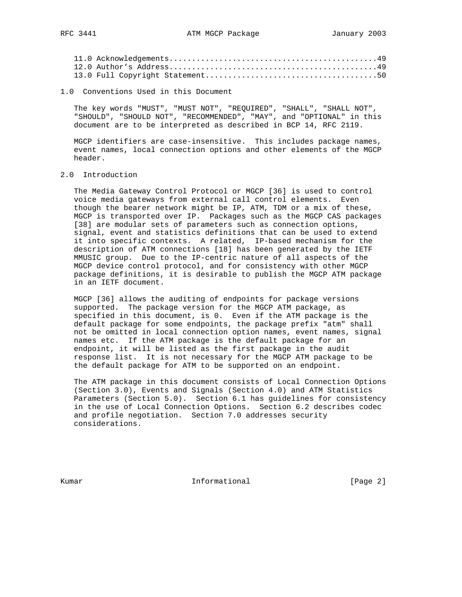1.0 Conventions Used in this Document

 The key words "MUST", "MUST NOT", "REQUIRED", "SHALL", "SHALL NOT", "SHOULD", "SHOULD NOT", "RECOMMENDED", "MAY", and "OPTIONAL" in this document are to be interpreted as described in BCP 14, RFC 2119.

 MGCP identifiers are case-insensitive. This includes package names, event names, local connection options and other elements of the MGCP header.

## 2.0 Introduction

 The Media Gateway Control Protocol or MGCP [36] is used to control voice media gateways from external call control elements. Even though the bearer network might be IP, ATM, TDM or a mix of these, MGCP is transported over IP. Packages such as the MGCP CAS packages [38] are modular sets of parameters such as connection options, signal, event and statistics definitions that can be used to extend it into specific contexts. A related, IP-based mechanism for the description of ATM connections [18] has been generated by the IETF MMUSIC group. Due to the IP-centric nature of all aspects of the MGCP device control protocol, and for consistency with other MGCP package definitions, it is desirable to publish the MGCP ATM package in an IETF document.

 MGCP [36] allows the auditing of endpoints for package versions supported. The package version for the MGCP ATM package, as specified in this document, is 0. Even if the ATM package is the default package for some endpoints, the package prefix "atm" shall not be omitted in local connection option names, event names, signal names etc. If the ATM package is the default package for an endpoint, it will be listed as the first package in the audit response list. It is not necessary for the MGCP ATM package to be the default package for ATM to be supported on an endpoint.

 The ATM package in this document consists of Local Connection Options (Section 3.0), Events and Signals (Section 4.0) and ATM Statistics Parameters (Section 5.0). Section 6.1 has guidelines for consistency in the use of Local Connection Options. Section 6.2 describes codec and profile negotiation. Section 7.0 addresses security considerations.

Kumar **Informational Informational** [Page 2]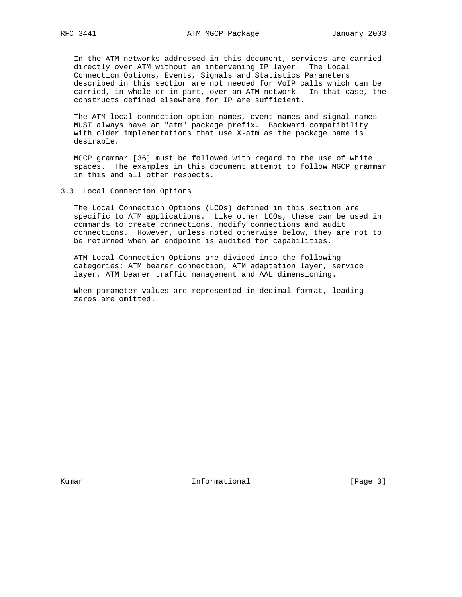In the ATM networks addressed in this document, services are carried directly over ATM without an intervening IP layer. The Local Connection Options, Events, Signals and Statistics Parameters described in this section are not needed for VoIP calls which can be carried, in whole or in part, over an ATM network. In that case, the constructs defined elsewhere for IP are sufficient.

 The ATM local connection option names, event names and signal names MUST always have an "atm" package prefix. Backward compatibility with older implementations that use X-atm as the package name is desirable.

 MGCP grammar [36] must be followed with regard to the use of white spaces. The examples in this document attempt to follow MGCP grammar in this and all other respects.

3.0 Local Connection Options

 The Local Connection Options (LCOs) defined in this section are specific to ATM applications. Like other LCOs, these can be used in commands to create connections, modify connections and audit connections. However, unless noted otherwise below, they are not to be returned when an endpoint is audited for capabilities.

 ATM Local Connection Options are divided into the following categories: ATM bearer connection, ATM adaptation layer, service layer, ATM bearer traffic management and AAL dimensioning.

 When parameter values are represented in decimal format, leading zeros are omitted.

Kumar **Informational Informational** [Page 3]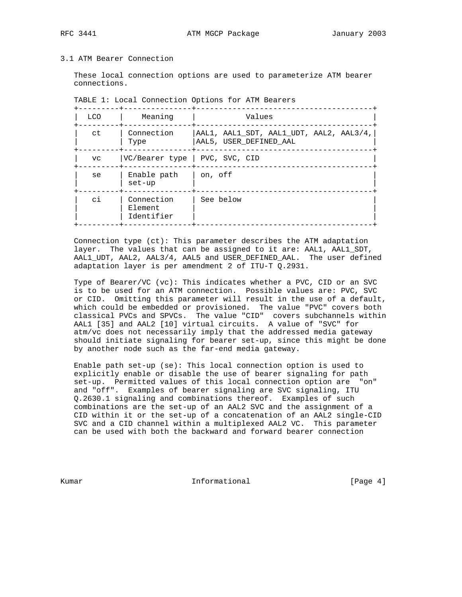## 3.1 ATM Bearer Connection

 These local connection options are used to parameterize ATM bearer connections.

| <b>LCO</b> | Meaning                             | Values                                                            |
|------------|-------------------------------------|-------------------------------------------------------------------|
| ct         | Connection<br>Type                  | AAL1, AAL1 SDT, AAL1 UDT, AAL2, AAL3/4,<br>AAL5, USER DEFINED AAL |
| <b>VC</b>  | VC/Bearer type   PVC, SVC, CID      |                                                                   |
| se         | Enable path<br>$set-up$             | on, off                                                           |
| сi         | Connection<br>Element<br>Identifier | See below                                                         |

| TABLE 1: Local Connection Options for ATM Bearers |  |  |  |  |
|---------------------------------------------------|--|--|--|--|
|---------------------------------------------------|--|--|--|--|

 Connection type (ct): This parameter describes the ATM adaptation layer. The values that can be assigned to it are: AAL1, AAL1\_SDT, AAL1\_UDT, AAL2, AAL3/4, AAL5 and USER\_DEFINED\_AAL. The user defined adaptation layer is per amendment 2 of ITU-T Q.2931.

 Type of Bearer/VC (vc): This indicates whether a PVC, CID or an SVC is to be used for an ATM connection. Possible values are: PVC, SVC or CID. Omitting this parameter will result in the use of a default, which could be embedded or provisioned. The value "PVC" covers both classical PVCs and SPVCs. The value "CID" covers subchannels within AAL1 [35] and AAL2 [10] virtual circuits. A value of "SVC" for atm/vc does not necessarily imply that the addressed media gateway should initiate signaling for bearer set-up, since this might be done by another node such as the far-end media gateway.

 Enable path set-up (se): This local connection option is used to explicitly enable or disable the use of bearer signaling for path set-up. Permitted values of this local connection option are "on" and "off". Examples of bearer signaling are SVC signaling, ITU Q.2630.1 signaling and combinations thereof. Examples of such combinations are the set-up of an AAL2 SVC and the assignment of a CID within it or the set-up of a concatenation of an AAL2 single-CID SVC and a CID channel within a multiplexed AAL2 VC. This parameter can be used with both the backward and forward bearer connection

Kumar **Informational Informational Example 1** [Page 4]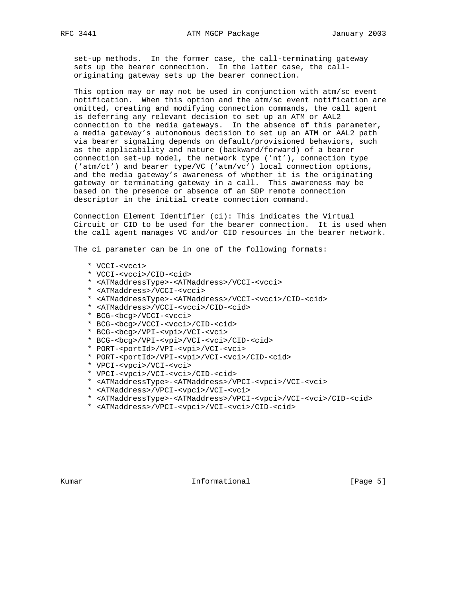set-up methods. In the former case, the call-terminating gateway sets up the bearer connection. In the latter case, the call originating gateway sets up the bearer connection.

 This option may or may not be used in conjunction with atm/sc event notification. When this option and the atm/sc event notification are omitted, creating and modifying connection commands, the call agent is deferring any relevant decision to set up an ATM or AAL2 connection to the media gateways. In the absence of this parameter, a media gateway's autonomous decision to set up an ATM or AAL2 path via bearer signaling depends on default/provisioned behaviors, such as the applicability and nature (backward/forward) of a bearer connection set-up model, the network type ('nt'), connection type ('atm/ct') and bearer type/VC ('atm/vc') local connection options, and the media gateway's awareness of whether it is the originating gateway or terminating gateway in a call. This awareness may be based on the presence or absence of an SDP remote connection descriptor in the initial create connection command.

 Connection Element Identifier (ci): This indicates the Virtual Circuit or CID to be used for the bearer connection. It is used when the call agent manages VC and/or CID resources in the bearer network.

The ci parameter can be in one of the following formats:

- \* VCCI-<vcci>
- \* VCCI-<vcci>/CID-<cid>
- \* <ATMaddressType>-<ATMaddress>/VCCI-<vcci>
- \* <ATMaddress>/VCCI-<vcci>
- \* <ATMaddressType>-<ATMaddress>/VCCI-<vcci>/CID-<cid>
- \* <ATMaddress>/VCCI-<vcci>/CID-<cid>
- \* BCG-<bcg>/VCCI-<vcci>
- \* BCG-<bcg>/VCCI-<vcci>/CID-<cid>
- \* BCG-<bcg>/VPI-<vpi>/VCI-<vci>
- \* BCG-<bcg>/VPI-<vpi>/VCI-<vci>/CID-<cid>
- \* PORT-<portId>/VPI-<vpi>/VCI-<vci>
- \* PORT-<portId>/VPI-<vpi>/VCI-<vci>/CID-<cid>
- \* VPCI-<vpci>/VCI-<vci>
- \* VPCI-<vpci>/VCI-<vci>/CID-<cid>
- \* <ATMaddressType>-<ATMaddress>/VPCI-<vpci>/VCI-<vci>
- \* <ATMaddress>/VPCI-<vpci>/VCI-<vci>
- \* <ATMaddressType>-<ATMaddress>/VPCI-<vpci>/VCI-<vci>/CID-<cid>
- \* <ATMaddress>/VPCI-<vpci>/VCI-<vci>/CID-<cid>

Kumar **Informational Informational** [Page 5]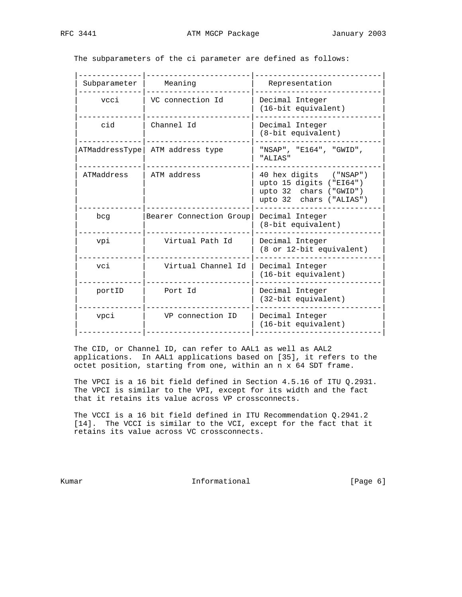|--|

| Subparameter<br>Meaning   |                         | Representation                                                                                         |
|---------------------------|-------------------------|--------------------------------------------------------------------------------------------------------|
| VC connection Id          |                         | Decimal Integer                                                                                        |
| vcci                      |                         | (16-bit equivalent)                                                                                    |
| Channel Id                |                         | Decimal Integer                                                                                        |
| cid                       |                         | (8-bit equivalent)                                                                                     |
| ATMaddressType            |                         | "NSAP", "E164", "GWID",                                                                                |
| ATM address type          |                         | "ALIAS"                                                                                                |
| ATMaddress<br>ATM address |                         | 40 hex digits ("NSAP")<br>upto 15 digits ("EI64")<br>upto 32 chars ("GWID")<br>upto 32 chars ("ALIAS") |
| bcg                       | Bearer Connection Group | Decimal Integer<br>(8-bit equivalent)                                                                  |
| Virtual Path Id           |                         | Decimal Integer                                                                                        |
| vpi                       |                         | (8 or 12-bit equivalent)                                                                               |
| Virtual Channel Id        |                         | Decimal Integer                                                                                        |
| vci                       |                         | (16-bit equivalent)                                                                                    |
| Port Id                   |                         | Decimal Integer                                                                                        |
| portID                    |                         | (32-bit equivalent)                                                                                    |
| vpci                      |                         | Decimal Integer                                                                                        |
| VP connection ID          |                         | (16-bit equivalent)                                                                                    |
|                           |                         |                                                                                                        |

The subparameters of the ci parameter are defined as follows:

 The CID, or Channel ID, can refer to AAL1 as well as AAL2 applications. In AAL1 applications based on [35], it refers to the octet position, starting from one, within an n x 64 SDT frame.

 The VPCI is a 16 bit field defined in Section 4.5.16 of ITU Q.2931. The VPCI is similar to the VPI, except for its width and the fact that it retains its value across VP crossconnects.

 The VCCI is a 16 bit field defined in ITU Recommendation Q.2941.2 [14]. The VCCI is similar to the VCI, except for the fact that it retains its value across VC crossconnects.

Kumar **Informational Informational Example 1** [Page 6]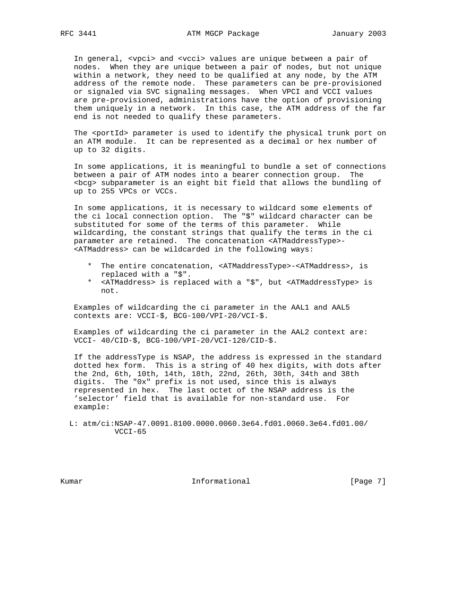In general, <vpci> and <vcci> values are unique between a pair of nodes. When they are unique between a pair of nodes, but not unique within a network, they need to be qualified at any node, by the ATM address of the remote node. These parameters can be pre-provisioned or signaled via SVC signaling messages. When VPCI and VCCI values are pre-provisioned, administrations have the option of provisioning them uniquely in a network. In this case, the ATM address of the far end is not needed to qualify these parameters.

The <portId> parameter is used to identify the physical trunk port on an ATM module. It can be represented as a decimal or hex number of up to 32 digits.

 In some applications, it is meaningful to bundle a set of connections between a pair of ATM nodes into a bearer connection group. The <bcg> subparameter is an eight bit field that allows the bundling of up to 255 VPCs or VCCs.

 In some applications, it is necessary to wildcard some elements of the ci local connection option. The "\$" wildcard character can be substituted for some of the terms of this parameter. While wildcarding, the constant strings that qualify the terms in the ci parameter are retained. The concatenation <ATMaddressType>- <ATMaddress> can be wildcarded in the following ways:

- \* The entire concatenation, <ATMaddressType>-<ATMaddress>, is replaced with a "\$".
- \* <ATMaddress> is replaced with a "\$", but <ATMaddressType> is not.

 Examples of wildcarding the ci parameter in the AAL1 and AAL5 contexts are: VCCI-\$, BCG-100/VPI-20/VCI-\$.

 Examples of wildcarding the ci parameter in the AAL2 context are: VCCI- 40/CID-\$, BCG-100/VPI-20/VCI-120/CID-\$.

 If the addressType is NSAP, the address is expressed in the standard dotted hex form. This is a string of 40 hex digits, with dots after the 2nd, 6th, 10th, 14th, 18th, 22nd, 26th, 30th, 34th and 38th digits. The "0x" prefix is not used, since this is always represented in hex. The last octet of the NSAP address is the 'selector' field that is available for non-standard use. For example:

 L: atm/ci:NSAP-47.0091.8100.0000.0060.3e64.fd01.0060.3e64.fd01.00/ VCCI-65

Kumar **Informational Informational** [Page 7]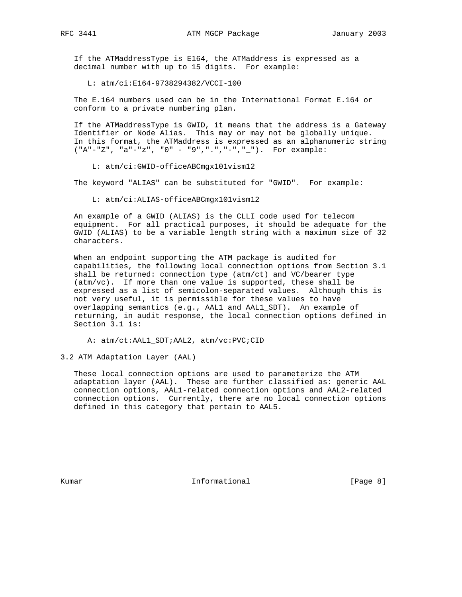If the ATMaddressType is E164, the ATMaddress is expressed as a decimal number with up to 15 digits. For example:

L: atm/ci:E164-9738294382/VCCI-100

 The E.164 numbers used can be in the International Format E.164 or conform to a private numbering plan.

 If the ATMaddressType is GWID, it means that the address is a Gateway Identifier or Node Alias. This may or may not be globally unique. In this format, the ATMaddress is expressed as an alphanumeric string ("A"-"Z", "a"-"z", "0" - "9",".","-","\_"). For example:

L: atm/ci:GWID-officeABCmgx101vism12

The keyword "ALIAS" can be substituted for "GWID". For example:

L: atm/ci:ALIAS-officeABCmgx101vism12

 An example of a GWID (ALIAS) is the CLLI code used for telecom equipment. For all practical purposes, it should be adequate for the GWID (ALIAS) to be a variable length string with a maximum size of 32 characters.

 When an endpoint supporting the ATM package is audited for capabilities, the following local connection options from Section 3.1 shall be returned: connection type (atm/ct) and VC/bearer type (atm/vc). If more than one value is supported, these shall be expressed as a list of semicolon-separated values. Although this is not very useful, it is permissible for these values to have overlapping semantics (e.g., AAL1 and AAL1\_SDT). An example of returning, in audit response, the local connection options defined in Section 3.1 is:

A: atm/ct:AAL1\_SDT;AAL2, atm/vc:PVC;CID

3.2 ATM Adaptation Layer (AAL)

 These local connection options are used to parameterize the ATM adaptation layer (AAL). These are further classified as: generic AAL connection options, AAL1-related connection options and AAL2-related connection options. Currently, there are no local connection options defined in this category that pertain to AAL5.

Kumar **Informational Informational Example 1** [Page 8]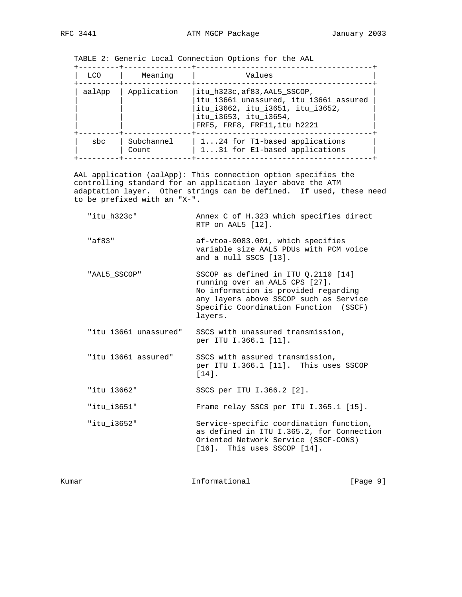TABLE 2: Generic Local Connection Options for the AAL

| LCO.   | Meaning             | Values                                                                                                                                                              |
|--------|---------------------|---------------------------------------------------------------------------------------------------------------------------------------------------------------------|
| aalApp | Application         | itu h323c, af83, AAL5 SSCOP,<br>itu_i3661_unassured, itu_i3661_assured<br>itu_i3662, itu_i3651, itu_i3652,<br>itu_i3653, itu_i3654,<br>FRF5, FRF8, FRF11, itu h2221 |
| sbc    | Subchannel<br>Count | 124 for T1-based applications<br>131 for E1-based applications                                                                                                      |

 AAL application (aalApp): This connection option specifies the controlling standard for an application layer above the ATM adaptation layer. Other strings can be defined. If used, these need to be prefixed with an "X-".

| "itu h323c"           | Annex C of H.323 which specifies direct<br>RTP on AAL5 [12].                                                                                                                                                  |
|-----------------------|---------------------------------------------------------------------------------------------------------------------------------------------------------------------------------------------------------------|
| "af83"                | af-vtoa-0083.001, which specifies<br>variable size AAL5 PDUs with PCM voice<br>and a null SSCS [13].                                                                                                          |
| "AAL5 SSCOP"          | SSCOP as defined in ITU $0.2110$ [14]<br>running over an AAL5 CPS [27].<br>No information is provided regarding<br>any layers above SSCOP such as Service<br>Specific Coordination Function (SSCF)<br>layers. |
| "itu i3661 unassured" | SSCS with unassured transmission,<br>per ITU I.366.1 [11].                                                                                                                                                    |
| "itu_i3661_assured"   | SSCS with assured transmission,<br>per ITU I.366.1 [11]. This uses SSCOP<br>$[14].$                                                                                                                           |
| "itu i3662"           | SSCS per ITU I.366.2 [2].                                                                                                                                                                                     |
| "itu i3651"           | Frame relay SSCS per ITU I.365.1 [15].                                                                                                                                                                        |
| "itu i3652"           | Service-specific coordination function,<br>as defined in ITU I.365.2, for Connection<br>Oriented Network Service (SSCF-CONS)<br>[16]. This uses SSCOP [14].                                                   |

Kumar **Informational Informational** [Page 9]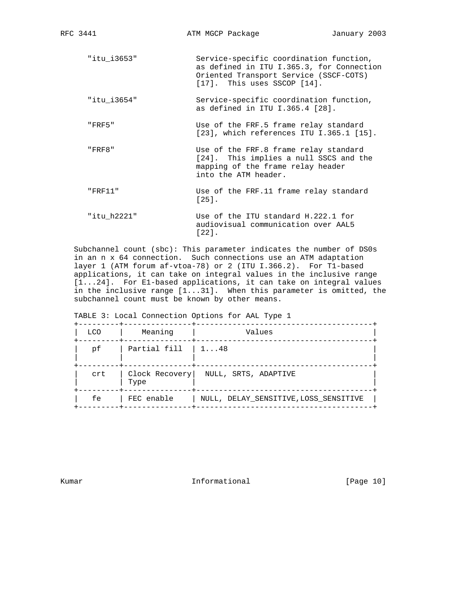| "itu i3653" | Service-specific coordination function,<br>as defined in ITU I.365.3, for Connection<br>Oriented Transport Service (SSCF-COTS)<br>$[17]$ . This uses SSCOP $[14]$ . |
|-------------|---------------------------------------------------------------------------------------------------------------------------------------------------------------------|
| "itu i3654" | Service-specific coordination function,<br>as defined in ITU I.365.4 [28].                                                                                          |
| "FRF5"      | Use of the FRF.5 frame relay standard<br>$[23]$ , which references ITU I.365.1 $[15]$ .                                                                             |
| "FRF8"      | Use of the FRF.8 frame relay standard<br>[24]. This implies a null SSCS and the<br>mapping of the frame relay header<br>into the ATM header.                        |
| "FRF11"     | Use of the FRF.11 frame relay standard<br>$\lceil 25 \rceil$ .                                                                                                      |
| "itu h2221" | Use of the ITU standard H.222.1 for<br>audiovisual communication over AAL5<br>[22].                                                                                 |

 Subchannel count (sbc): This parameter indicates the number of DS0s in an n x 64 connection. Such connections use an ATM adaptation layer 1 (ATM forum af-vtoa-78) or 2 (ITU I.366.2). For T1-based applications, it can take on integral values in the inclusive range [1...24]. For E1-based applications, it can take on integral values in the inclusive range [1...31]. When this parameter is omitted, the subchannel count must be known by other means.

| <b>LCO</b> | Meaning      | Values                                |
|------------|--------------|---------------------------------------|
| рf         | Partial fill | $1 \ldots 48$                         |
| crt        | Type         | Clock Recovery  NULL, SRTS, ADAPTIVE  |
| fe         | FEC enable   | NULL, DELAY SENSITIVE, LOSS SENSITIVE |

TABLE 3: Local Connection Options for AAL Type 1

Kumar **Informational Informational** [Page 10]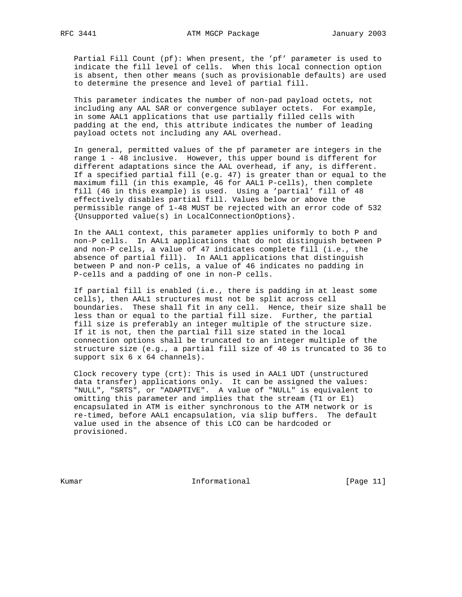Partial Fill Count (pf): When present, the 'pf' parameter is used to indicate the fill level of cells. When this local connection option is absent, then other means (such as provisionable defaults) are used to determine the presence and level of partial fill.

 This parameter indicates the number of non-pad payload octets, not including any AAL SAR or convergence sublayer octets. For example, in some AAL1 applications that use partially filled cells with padding at the end, this attribute indicates the number of leading payload octets not including any AAL overhead.

 In general, permitted values of the pf parameter are integers in the range 1 - 48 inclusive. However, this upper bound is different for different adaptations since the AAL overhead, if any, is different. If a specified partial fill (e.g. 47) is greater than or equal to the maximum fill (in this example, 46 for AAL1 P-cells), then complete fill (46 in this example) is used. Using a 'partial' fill of 48 effectively disables partial fill. Values below or above the permissible range of 1-48 MUST be rejected with an error code of 532 {Unsupported value(s) in LocalConnectionOptions}.

 In the AAL1 context, this parameter applies uniformly to both P and non-P cells. In AAL1 applications that do not distinguish between P and non-P cells, a value of 47 indicates complete fill (i.e., the absence of partial fill). In AAL1 applications that distinguish between P and non-P cells, a value of 46 indicates no padding in P-cells and a padding of one in non-P cells.

 If partial fill is enabled (i.e., there is padding in at least some cells), then AAL1 structures must not be split across cell boundaries. These shall fit in any cell. Hence, their size shall be less than or equal to the partial fill size. Further, the partial fill size is preferably an integer multiple of the structure size. If it is not, then the partial fill size stated in the local connection options shall be truncated to an integer multiple of the structure size (e.g., a partial fill size of 40 is truncated to 36 to support six 6 x 64 channels).

 Clock recovery type (crt): This is used in AAL1 UDT (unstructured data transfer) applications only. It can be assigned the values: "NULL", "SRTS", or "ADAPTIVE". A value of "NULL" is equivalent to omitting this parameter and implies that the stream (T1 or E1) encapsulated in ATM is either synchronous to the ATM network or is re-timed, before AAL1 encapsulation, via slip buffers. The default value used in the absence of this LCO can be hardcoded or provisioned.

Kumar **Informational Informational** [Page 11]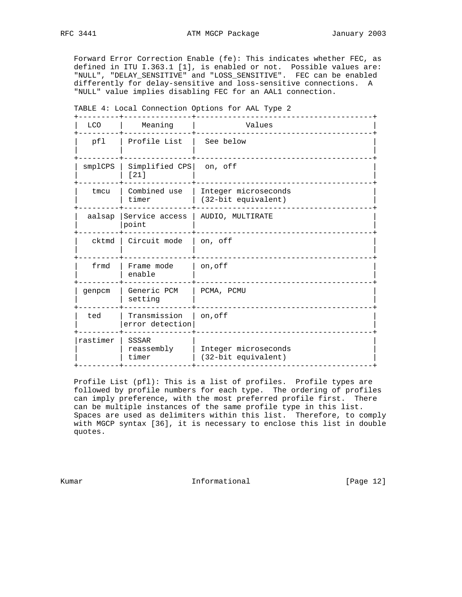Forward Error Correction Enable (fe): This indicates whether FEC, as defined in ITU I.363.1 [1], is enabled or not. Possible values are: "NULL", "DELAY\_SENSITIVE" and "LOSS\_SENSITIVE". FEC can be enabled differently for delay-sensitive and loss-sensitive connections. A "NULL" value implies disabling FEC for an AAL1 connection.

| TABLE 4: Local Connection Options for AAL Type 2 |                                     |                                             |  |  |
|--------------------------------------------------|-------------------------------------|---------------------------------------------|--|--|
| <b>LCO</b>                                       | Meaning                             | Values                                      |  |  |
| pfl                                              | Profile List                        | See below                                   |  |  |
| smplCPS                                          | Simplified CPS<br>[21]              | on, off                                     |  |  |
| tmcu                                             | Combined use<br>timer               | Integer microseconds<br>(32-bit equivalent) |  |  |
| aalsap                                           | Service access<br>point             | AUDIO, MULTIRATE                            |  |  |
| cktmd                                            | Circuit mode                        | on, off                                     |  |  |
| frmd                                             | Frame mode<br>enable                | on, off                                     |  |  |
| genpcm                                           | Generic PCM<br>setting              | PCMA, PCMU                                  |  |  |
| ted                                              | Transmission<br>error detection     | on, off                                     |  |  |
| rastimer                                         | <b>SSSAR</b><br>reassembly<br>timer | Integer microseconds<br>(32-bit equivalent) |  |  |

 Profile List (pfl): This is a list of profiles. Profile types are followed by profile numbers for each type. The ordering of profiles can imply preference, with the most preferred profile first. There can be multiple instances of the same profile type in this list. Spaces are used as delimiters within this list. Therefore, to comply with MGCP syntax [36], it is necessary to enclose this list in double quotes.

Kumar **Informational Informational** [Page 12]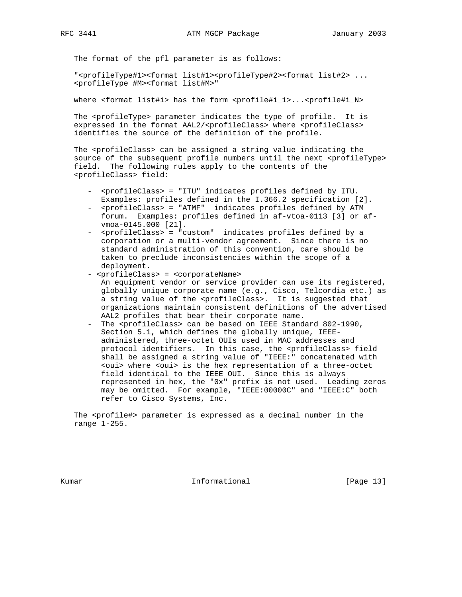The format of the pfl parameter is as follows:

 "<profileType#1><format list#1><profileType#2><format list#2> ... <profileType #M><format list#M>"

where <format list#i> has the form <profile#i\_1>...<profile#i\_N>

The <profileType> parameter indicates the type of profile. It is expressed in the format AAL2/<profileClass> where <profileClass> identifies the source of the definition of the profile.

 The <profileClass> can be assigned a string value indicating the source of the subsequent profile numbers until the next <profileType> field. The following rules apply to the contents of the <profileClass> field:

- <profileClass> = "ITU" indicates profiles defined by ITU. Examples: profiles defined in the I.366.2 specification [2].
- <profileClass> = "ATMF" indicates profiles defined by ATM forum. Examples: profiles defined in af-vtoa-0113 [3] or af vmoa-0145.000 [21].
- <profileClass> = "custom" indicates profiles defined by a corporation or a multi-vendor agreement. Since there is no standard administration of this convention, care should be taken to preclude inconsistencies within the scope of a deployment.

- <profileClass> = <corporateName>

- An equipment vendor or service provider can use its registered, globally unique corporate name (e.g., Cisco, Telcordia etc.) as a string value of the <profileClass>. It is suggested that organizations maintain consistent definitions of the advertised AAL2 profiles that bear their corporate name.
- The <profileClass> can be based on IEEE Standard 802-1990, Section 5.1, which defines the globally unique, IEEE administered, three-octet OUIs used in MAC addresses and protocol identifiers. In this case, the <profileClass> field shall be assigned a string value of "IEEE:" concatenated with <oui> where <oui> is the hex representation of a three-octet field identical to the IEEE OUI. Since this is always represented in hex, the "0x" prefix is not used. Leading zeros may be omitted. For example, "IEEE:00000C" and "IEEE:C" both refer to Cisco Systems, Inc.

 The <profile#> parameter is expressed as a decimal number in the range 1-255.

Kumar **Informational Informational** [Page 13]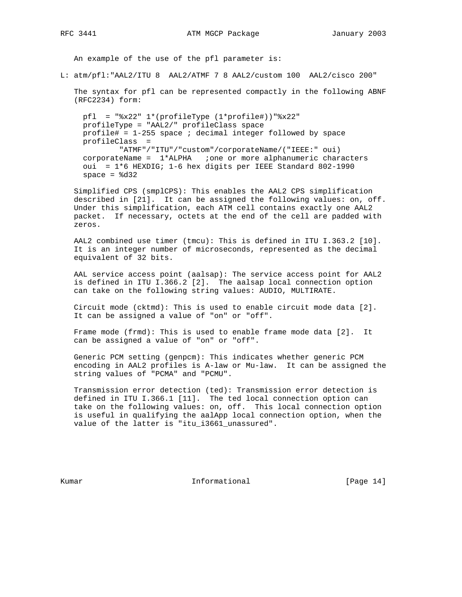An example of the use of the pfl parameter is:

L: atm/pfl:"AAL2/ITU 8 AAL2/ATMF 7 8 AAL2/custom 100 AAL2/cisco 200"

 The syntax for pfl can be represented compactly in the following ABNF (RFC2234) form:

pfl = " $x22" 1*(profit)$  (1\*profile#))" $x22"$  profileType = "AAL2/" profileClass space profile# =  $1-255$  space ; decimal integer followed by space profileClass = "ATMF"/"ITU"/"custom"/corporateName/("IEEE:" oui)  $corporateName =  $1*ALPHA$  ; one or more alphanumeric characters$  oui = 1\*6 HEXDIG; 1-6 hex digits per IEEE Standard 802-1990  $space =  $8d32$$ 

 Simplified CPS (smplCPS): This enables the AAL2 CPS simplification described in [21]. It can be assigned the following values: on, off. Under this simplification, each ATM cell contains exactly one AAL2 packet. If necessary, octets at the end of the cell are padded with zeros.

 AAL2 combined use timer (tmcu): This is defined in ITU I.363.2 [10]. It is an integer number of microseconds, represented as the decimal equivalent of 32 bits.

 AAL service access point (aalsap): The service access point for AAL2 is defined in ITU I.366.2 [2]. The aalsap local connection option can take on the following string values: AUDIO, MULTIRATE.

 Circuit mode (cktmd): This is used to enable circuit mode data [2]. It can be assigned a value of "on" or "off".

 Frame mode (frmd): This is used to enable frame mode data [2]. It can be assigned a value of "on" or "off".

 Generic PCM setting (genpcm): This indicates whether generic PCM encoding in AAL2 profiles is A-law or Mu-law. It can be assigned the string values of "PCMA" and "PCMU".

 Transmission error detection (ted): Transmission error detection is defined in ITU I.366.1 [11]. The ted local connection option can take on the following values: on, off. This local connection option is useful in qualifying the aalApp local connection option, when the value of the latter is "itu\_i3661\_unassured".

Kumar **Informational Informational** [Page 14]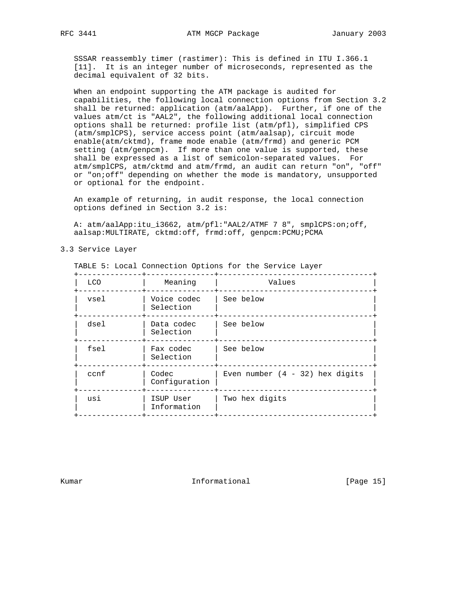SSSAR reassembly timer (rastimer): This is defined in ITU I.366.1 [11]. It is an integer number of microseconds, represented as the decimal equivalent of 32 bits.

 When an endpoint supporting the ATM package is audited for capabilities, the following local connection options from Section 3.2 shall be returned: application (atm/aalApp). Further, if one of the values atm/ct is "AAL2", the following additional local connection options shall be returned: profile list (atm/pfl), simplified CPS (atm/smplCPS), service access point (atm/aalsap), circuit mode enable(atm/cktmd), frame mode enable (atm/frmd) and generic PCM setting (atm/genpcm). If more than one value is supported, these shall be expressed as a list of semicolon-separated values. For atm/smplCPS, atm/cktmd and atm/frmd, an audit can return "on", "off" or "on;off" depending on whether the mode is mandatory, unsupported or optional for the endpoint.

 An example of returning, in audit response, the local connection options defined in Section 3.2 is:

A: atm/aalApp:itu\_i3662, atm/pfl:"AAL2/ATMF 7 8", smplCPS:on;off, aalsap:MULTIRATE, cktmd:off, frmd:off, genpcm:PCMU;PCMA

#### 3.3 Service Layer

| TABLE 5: Local Connection Options for the Service Layer |                          |                                   |  |  |  |
|---------------------------------------------------------|--------------------------|-----------------------------------|--|--|--|
| LCO                                                     | Meaning                  | Values                            |  |  |  |
| vsel                                                    | Voice codec<br>Selection | See below                         |  |  |  |
| dsel                                                    | Data codec<br>Selection  | See below                         |  |  |  |
| fsel                                                    | Fax codec<br>Selection   | See below                         |  |  |  |
| ccnf                                                    | Codec<br>Configuration   | Even number $(4 - 32)$ hex digits |  |  |  |
| usi                                                     | ISUP User<br>Information | Two hex digits                    |  |  |  |

Kumar **Informational Informational** [Page 15]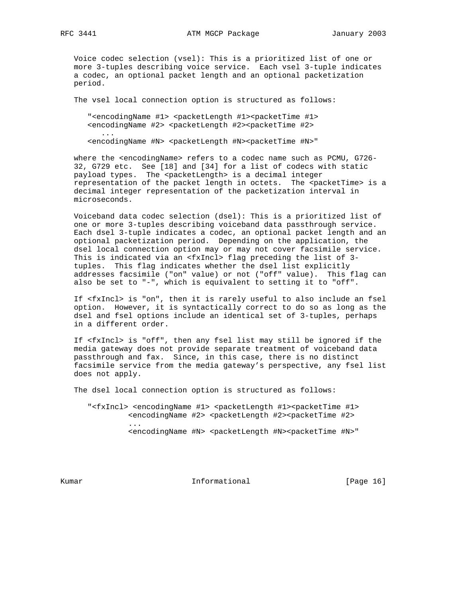Voice codec selection (vsel): This is a prioritized list of one or more 3-tuples describing voice service. Each vsel 3-tuple indicates a codec, an optional packet length and an optional packetization period.

The vsel local connection option is structured as follows:

"<encodingName #1> <packetLength #1><packetTime #1> <encodingName #2> <packetLength #2><packetTime #2>

<encodingName #N> <packetLength #N><packetTime #N>"

 where the <encodingName> refers to a codec name such as PCMU, G726- 32, G729 etc. See [18] and [34] for a list of codecs with static payload types. The <packetLength> is a decimal integer representation of the packet length in octets. The <packetTime> is a decimal integer representation of the packetization interval in microseconds.

 Voiceband data codec selection (dsel): This is a prioritized list of one or more 3-tuples describing voiceband data passthrough service. Each dsel 3-tuple indicates a codec, an optional packet length and an optional packetization period. Depending on the application, the dsel local connection option may or may not cover facsimile service. This is indicated via an <fxIncl> flag preceding the list of 3 tuples. This flag indicates whether the dsel list explicitly addresses facsimile ("on" value) or not ("off" value). This flag can also be set to "-", which is equivalent to setting it to "off".

 If <fxIncl> is "on", then it is rarely useful to also include an fsel option. However, it is syntactically correct to do so as long as the dsel and fsel options include an identical set of 3-tuples, perhaps in a different order.

 If <fxIncl> is "off", then any fsel list may still be ignored if the media gateway does not provide separate treatment of voiceband data passthrough and fax. Since, in this case, there is no distinct facsimile service from the media gateway's perspective, any fsel list does not apply.

The dsel local connection option is structured as follows:

"<fxIncl> <encodingName #1> <packetLength #1><packetTime #1> <encodingName #2> <packetLength #2><packetTime #2> ... <encodingName #N> <packetLength #N><packetTime #N>"

Kumar **Informational Informational** [Page 16]

...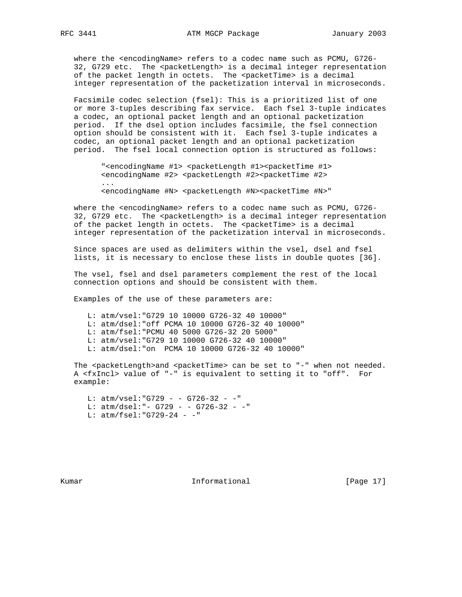where the <encodingName> refers to a codec name such as PCMU, G726- 32, G729 etc. The <packetLength> is a decimal integer representation of the packet length in octets. The <packetTime> is a decimal integer representation of the packetization interval in microseconds.

 Facsimile codec selection (fsel): This is a prioritized list of one or more 3-tuples describing fax service. Each fsel 3-tuple indicates a codec, an optional packet length and an optional packetization period. If the dsel option includes facsimile, the fsel connection option should be consistent with it. Each fsel 3-tuple indicates a codec, an optional packet length and an optional packetization period. The fsel local connection option is structured as follows:

"<encodingName #1> <packetLength #1><packetTime #1> <encodingName #2> <packetLength #2><packetTime #2>

<encodingName #N> <packetLength #N><packetTime #N>"

 where the <encodingName> refers to a codec name such as PCMU, G726- 32, G729 etc. The <packetLength> is a decimal integer representation of the packet length in octets. The <packetTime> is a decimal integer representation of the packetization interval in microseconds.

 Since spaces are used as delimiters within the vsel, dsel and fsel lists, it is necessary to enclose these lists in double quotes [36].

 The vsel, fsel and dsel parameters complement the rest of the local connection options and should be consistent with them.

Examples of the use of these parameters are:

L: atm/vsel:"G729 10 10000 G726-32 40 10000"

L: atm/dsel:"off PCMA 10 10000 G726-32 40 10000"

- L: atm/fsel:"PCMU 40 5000 G726-32 20 5000"
- L: atm/vsel:"G729 10 10000 G726-32 40 10000"
- L: atm/dsel:"on PCMA 10 10000 G726-32 40 10000"

The <packetLength>and <packetTime> can be set to "-" when not needed. A <fxIncl> value of "-" is equivalent to setting it to "off". For example:

 L: atm/vsel:"G729 - - G726-32 - -" L: atm/dsel:"- G729 - - G726-32 - -" L: atm/fsel:"G729-24 - -"

Kumar **Informational Informational** [Page 17]

...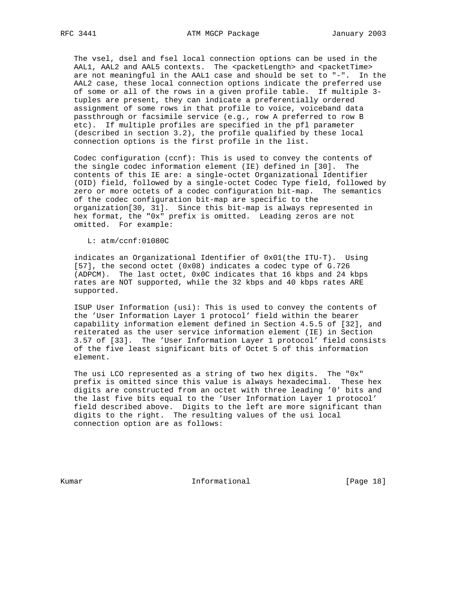The vsel, dsel and fsel local connection options can be used in the AAL1, AAL2 and AAL5 contexts. The <packetLength> and <packetTime> are not meaningful in the AAL1 case and should be set to "-". In the AAL2 case, these local connection options indicate the preferred use of some or all of the rows in a given profile table. If multiple 3 tuples are present, they can indicate a preferentially ordered assignment of some rows in that profile to voice, voiceband data passthrough or facsimile service (e.g., row A preferred to row B etc). If multiple profiles are specified in the pfl parameter (described in section 3.2), the profile qualified by these local connection options is the first profile in the list.

 Codec configuration (ccnf): This is used to convey the contents of the single codec information element (IE) defined in [30]. The contents of this IE are: a single-octet Organizational Identifier (OID) field, followed by a single-octet Codec Type field, followed by zero or more octets of a codec configuration bit-map. The semantics of the codec configuration bit-map are specific to the organization[30, 31]. Since this bit-map is always represented in hex format, the "0x" prefix is omitted. Leading zeros are not omitted. For example:

L: atm/ccnf:01080C

 indicates an Organizational Identifier of 0x01(the ITU-T). Using [57], the second octet (0x08) indicates a codec type of G.726 (ADPCM). The last octet, 0x0C indicates that 16 kbps and 24 kbps rates are NOT supported, while the 32 kbps and 40 kbps rates ARE supported.

 ISUP User Information (usi): This is used to convey the contents of the 'User Information Layer 1 protocol' field within the bearer capability information element defined in Section 4.5.5 of [32], and reiterated as the user service information element (IE) in Section 3.57 of [33]. The 'User Information Layer 1 protocol' field consists of the five least significant bits of Octet 5 of this information element.

 The usi LCO represented as a string of two hex digits. The "0x" prefix is omitted since this value is always hexadecimal. These hex digits are constructed from an octet with three leading '0' bits and the last five bits equal to the 'User Information Layer 1 protocol' field described above. Digits to the left are more significant than digits to the right. The resulting values of the usi local connection option are as follows:

Kumar **Informational Informational** [Page 18]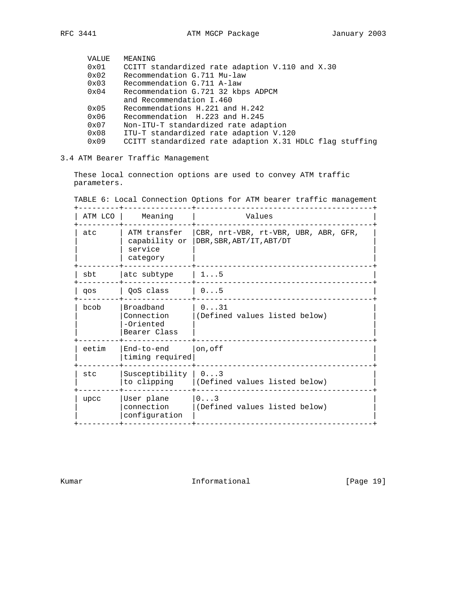| VALUE         | MEANING                                                  |
|---------------|----------------------------------------------------------|
| 0x01          | CCITT standardized rate adaption V.110 and X.30          |
| $0 \times 02$ | Recommendation G.711 Mu-law                              |
| $0 \times 03$ | Recommendation G.711 A-law                               |
| 0x04          | Recommendation G.721 32 kbps ADPCM                       |
|               | and Recommendation I.460                                 |
| $0 \times 05$ | Recommendations H.221 and H.242                          |
| 0x06          | Recommendation H.223 and H.245                           |
| $0 \times 07$ | Non-ITU-T standardized rate adaption                     |
| 0x08          | ITU-T standardized rate adaption V.120                   |
| 0x09          | CCITT standardized rate adaption X.31 HDLC flag stuffing |
|               |                                                          |

# 3.4 ATM Bearer Traffic Management

 These local connection options are used to convey ATM traffic parameters.

| ATM LCO | Meaning                                              | Values                                                           |
|---------|------------------------------------------------------|------------------------------------------------------------------|
| atc     | ATM transfer<br>capability or<br>service<br>category | CBR, nrt-VBR, rt-VBR, UBR, ABR, GFR,<br>DBR, SBR, ABT/IT, ABT/DT |
| sbt     | atc subtype                                          | $1 \ldots 5$                                                     |
| qos     | OoS class                                            | 0.1.5                                                            |
| haob    | Broadband<br>Connection<br>-Oriented<br>Bearer Class | 0.131<br>(Defined values listed below)                           |
| eetim   | End-to-end<br>timing required                        | on, of f                                                         |
| stc     | Susceptibility                                       | $0 \ldots 3$<br>to clipping   (Defined values listed below)      |
| upcc    | User plane<br>connection<br>configuration            | 0.1.3<br>(Defined values listed below)                           |

TABLE 6: Local Connection Options for ATM bearer traffic management

Kumar **Informational Informational** [Page 19]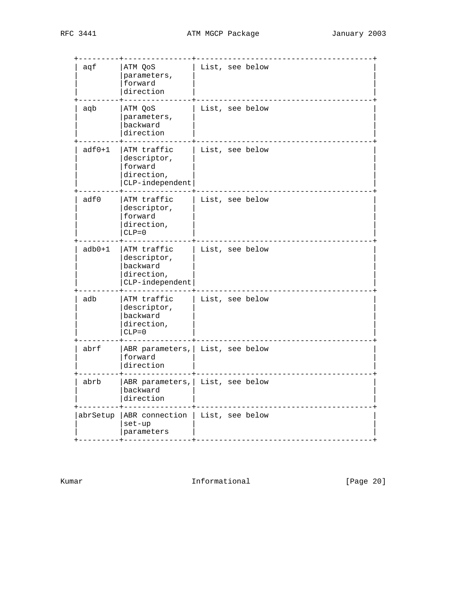| aqf      | ATM QoS<br>parameters,<br>forward<br>direction                          | List, see below                   |
|----------|-------------------------------------------------------------------------|-----------------------------------|
| aqb      | ATM QoS<br>parameters,<br>backward<br>direction                         | List, see below                   |
| $adf0+1$ | ATM traffic<br>descriptor,<br>forward<br>direction,<br>CLP-independent  | List, see below                   |
| adf0     | ATM traffic<br>descriptor,<br>forward<br>direction,<br>$CLP = 0$        | List, see below                   |
| $adb0+1$ | ATM traffic<br>descriptor,<br>backward<br>direction,<br>CLP-independent | List, see below                   |
| adb      | ATM traffic<br>descriptor,<br>backward<br>direction,<br>$CLP = 0$       | List, see below                   |
| abrf     | forward<br>direction                                                    | ABR parameters,   List, see below |
| abrb     | backward<br>direction                                                   | ABR parameters,   List, see below |
| abrSetup | ABR connection<br>set-up<br>parameters                                  | List, see below                   |

Kumar Informational [Page 20]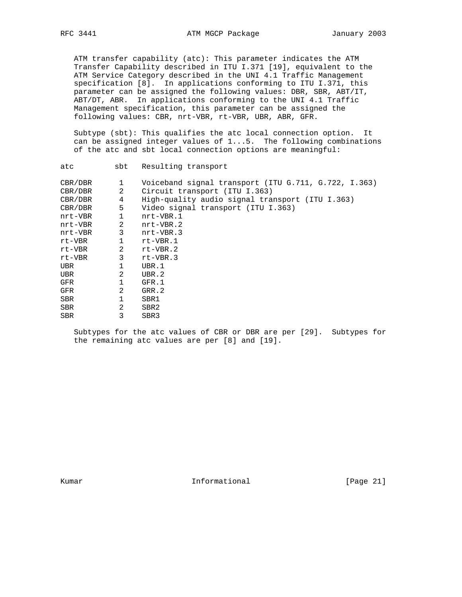ATM transfer capability (atc): This parameter indicates the ATM Transfer Capability described in ITU I.371 [19], equivalent to the ATM Service Category described in the UNI 4.1 Traffic Management specification [8]. In applications conforming to ITU I.371, this parameter can be assigned the following values: DBR, SBR, ABT/IT, ABT/DT, ABR. In applications conforming to the UNI 4.1 Traffic Management specification, this parameter can be assigned the following values: CBR, nrt-VBR, rt-VBR, UBR, ABR, GFR.

 Subtype (sbt): This qualifies the atc local connection option. It can be assigned integer values of 1...5. The following combinations of the atc and sbt local connection options are meaningful:

| atc        | sbt            | Resulting transport                                  |
|------------|----------------|------------------------------------------------------|
| CBR/DBR    | 1              | Voiceband signal transport (ITU G.711, G.722, I.363) |
| CBR/DBR    | 2              | Circuit transport (ITU I.363)                        |
| CBR/DBR    | $\overline{4}$ | High-quality audio signal transport (ITU I.363)      |
| CBR/DBR    | 5 <sub>5</sub> | Video signal transport (ITU I.363)                   |
| nrt-VBR    | $\mathbf 1$    | nrt-VBR.1                                            |
| nrt-VBR    | 2              | nrt-VBR.2                                            |
| nrt-VBR    | 3 <sup>7</sup> | nrt-VBR.3                                            |
| rt-VBR     | $\mathbf{1}$   | rt-VBR.1                                             |
| rt-VBR     | 2              | $rt$ -VBR.2                                          |
| rt-VBR     | 3              | $rt-VBR.3$                                           |
| UBR        | $\mathbf{1}$   | UBR.1                                                |
| <b>UBR</b> | 2              | UBR.2                                                |
| GFR        | $\mathbf{1}$   | GFR.1                                                |
| GFR        | 2              | GRR.2                                                |
| <b>SBR</b> | 1              | SBR1                                                 |
| <b>SBR</b> | 2              | SBR2                                                 |
| <b>SBR</b> | 3              | SBR3                                                 |

 Subtypes for the atc values of CBR or DBR are per [29]. Subtypes for the remaining atc values are per [8] and [19].

Kumar **Informational Informational** [Page 21]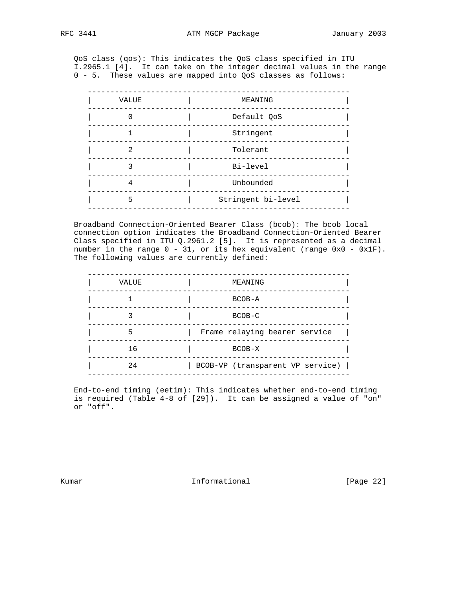QoS class (qos): This indicates the QoS class specified in ITU I.2965.1 [4]. It can take on the integer decimal values in the range 0 - 5. These values are mapped into QoS classes as follows:

| VALUE | MEANING            |
|-------|--------------------|
|       | Default QoS        |
|       | Stringent          |
| 2     | Tolerant           |
|       | Bi-level           |
|       | Unbounded          |
| 5     | Stringent bi-level |
|       |                    |

 Broadband Connection-Oriented Bearer Class (bcob): The bcob local connection option indicates the Broadband Connection-Oriented Bearer Class specified in ITU Q.2961.2 [5]. It is represented as a decimal number in the range 0 - 31, or its hex equivalent (range 0x0 - 0x1F). The following values are currently defined:

| VALUE | MEANING                          |
|-------|----------------------------------|
|       | $BCOB - A$                       |
|       | $BCOB-C$                         |
| 5     | Frame relaying bearer service    |
| 16    | BCOB-X                           |
| 2.4   | BCOB-VP (transparent VP service) |
|       |                                  |

 End-to-end timing (eetim): This indicates whether end-to-end timing is required (Table 4-8 of [29]). It can be assigned a value of "on" or "off".

Kumar **Informational Informational** [Page 22]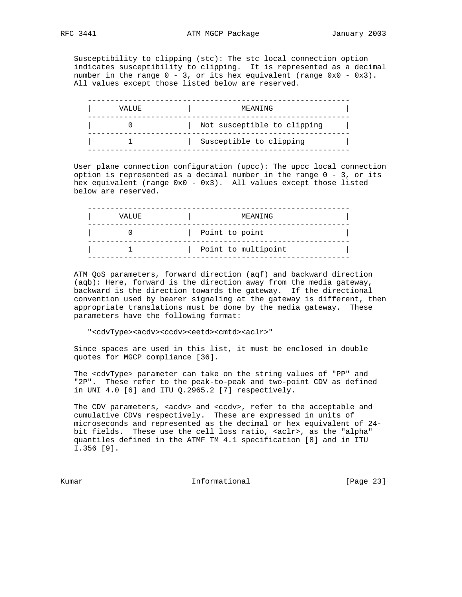Susceptibility to clipping (stc): The stc local connection option indicates susceptibility to clipping. It is represented as a decimal number in the range  $0 - 3$ , or its hex equivalent (range  $0 \times 0 - 0 \times 3$ ). All values except those listed below are reserved.

| VALUE | MEANING                     |  |
|-------|-----------------------------|--|
|       | Not susceptible to clipping |  |
|       | Susceptible to clipping     |  |

 User plane connection configuration (upcc): The upcc local connection option is represented as a decimal number in the range 0 - 3, or its hex equivalent (range 0x0 - 0x3). All values except those listed below are reserved.

| VALUE | MEANING             |  |
|-------|---------------------|--|
|       | Point to point      |  |
|       | Point to multipoint |  |

 ATM QoS parameters, forward direction (aqf) and backward direction (aqb): Here, forward is the direction away from the media gateway, backward is the direction towards the gateway. If the directional convention used by bearer signaling at the gateway is different, then appropriate translations must be done by the media gateway. These parameters have the following format:

"<cdvType><acdv><ccdv><eetd><cmtd><aclr>"

 Since spaces are used in this list, it must be enclosed in double quotes for MGCP compliance [36].

 The <cdvType> parameter can take on the string values of "PP" and "2P". These refer to the peak-to-peak and two-point CDV as defined in UNI 4.0 [6] and ITU Q.2965.2 [7] respectively.

The CDV parameters, <acdv> and <ccdv>, refer to the acceptable and cumulative CDVs respectively. These are expressed in units of microseconds and represented as the decimal or hex equivalent of 24 bit fields. These use the cell loss ratio, <aclr>, as the "alpha" quantiles defined in the ATMF TM 4.1 specification [8] and in ITU I.356 [9].

Kumar **Informational Informational** [Page 23]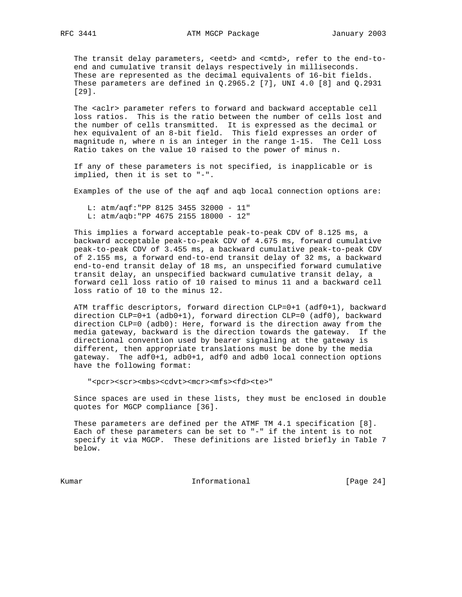The transit delay parameters, <eetd> and <cmtd>, refer to the end-to end and cumulative transit delays respectively in milliseconds. These are represented as the decimal equivalents of 16-bit fields. These parameters are defined in  $Q.2965.2$  [7], UNI 4.0 [8] and  $Q.2931$ [29].

The <aclr> parameter refers to forward and backward acceptable cell loss ratios. This is the ratio between the number of cells lost and the number of cells transmitted. It is expressed as the decimal or hex equivalent of an 8-bit field. This field expresses an order of magnitude n, where n is an integer in the range 1-15. The Cell Loss Ratio takes on the value 10 raised to the power of minus n.

 If any of these parameters is not specified, is inapplicable or is implied, then it is set to "-".

Examples of the use of the aqf and aqb local connection options are:

 L: atm/aqf:"PP 8125 3455 32000 - 11" L: atm/aqb:"PP 4675 2155 18000 - 12"

 This implies a forward acceptable peak-to-peak CDV of 8.125 ms, a backward acceptable peak-to-peak CDV of 4.675 ms, forward cumulative peak-to-peak CDV of 3.455 ms, a backward cumulative peak-to-peak CDV of 2.155 ms, a forward end-to-end transit delay of 32 ms, a backward end-to-end transit delay of 18 ms, an unspecified forward cumulative transit delay, an unspecified backward cumulative transit delay, a forward cell loss ratio of 10 raised to minus 11 and a backward cell loss ratio of 10 to the minus 12.

 ATM traffic descriptors, forward direction CLP=0+1 (adf0+1), backward direction CLP=0+1 (adb0+1), forward direction CLP=0 (adf0), backward direction CLP=0 (adb0): Here, forward is the direction away from the media gateway, backward is the direction towards the gateway. If the directional convention used by bearer signaling at the gateway is different, then appropriate translations must be done by the media gateway. The adf0+1, adb0+1, adf0 and adb0 local connection options have the following format:

"<pcr><scr><mbs><cdvt><mcr><mfs><fd><te>"

 Since spaces are used in these lists, they must be enclosed in double quotes for MGCP compliance [36].

 These parameters are defined per the ATMF TM 4.1 specification [8]. Each of these parameters can be set to "-" if the intent is to not specify it via MGCP. These definitions are listed briefly in Table 7 below.

Kumar **Informational Informational** [Page 24]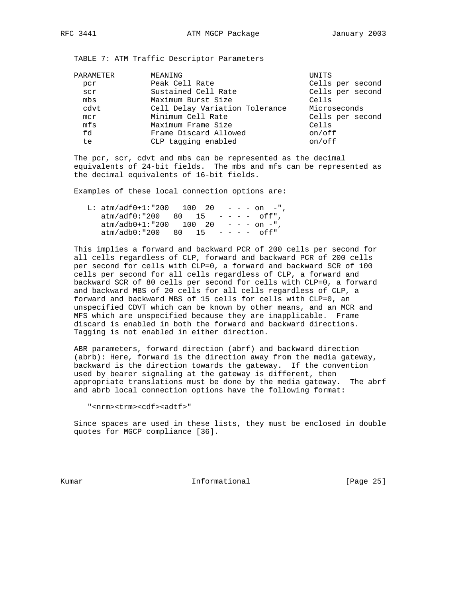TABLE 7: ATM Traffic Descriptor Parameters

| MEANING                        | UNITS            |
|--------------------------------|------------------|
| Peak Cell Rate                 | Cells per second |
| Sustained Cell Rate            | Cells per second |
| Maximum Burst Size             | Cells            |
| Cell Delay Variation Tolerance | Microseconds     |
| Minimum Cell Rate              | Cells per second |
| Maximum Frame Size             | Cells            |
| Frame Discard Allowed          | on/off           |
| CLP tagging enabled            | on/off           |
|                                |                  |

 The pcr, scr, cdvt and mbs can be represented as the decimal equivalents of 24-bit fields. The mbs and mfs can be represented as the decimal equivalents of 16-bit fields.

Examples of these local connection options are:

| L: atm/adf0+1:"200 100 20              |  |  | $- - - \circ n -$ ", |
|----------------------------------------|--|--|----------------------|
| $atm/addf0$ :"200 80 15 ---- off",     |  |  |                      |
| $atm/adb0+1$ :"200 100 20 - - - on -", |  |  |                      |
| $atm/adb0: "200 80 15 - - - - off"$    |  |  |                      |

 This implies a forward and backward PCR of 200 cells per second for all cells regardless of CLP, forward and backward PCR of 200 cells per second for cells with CLP=0, a forward and backward SCR of 100 cells per second for all cells regardless of CLP, a forward and backward SCR of 80 cells per second for cells with CLP=0, a forward and backward MBS of 20 cells for all cells regardless of CLP, a forward and backward MBS of 15 cells for cells with CLP=0, an unspecified CDVT which can be known by other means, and an MCR and MFS which are unspecified because they are inapplicable. Frame discard is enabled in both the forward and backward directions. Tagging is not enabled in either direction.

 ABR parameters, forward direction (abrf) and backward direction (abrb): Here, forward is the direction away from the media gateway, backward is the direction towards the gateway. If the convention used by bearer signaling at the gateway is different, then appropriate translations must be done by the media gateway. The abrf and abrb local connection options have the following format:

"<nrm><trm><cdf><adtf>"

 Since spaces are used in these lists, they must be enclosed in double quotes for MGCP compliance [36].

Kumar **Informational Informational** [Page 25]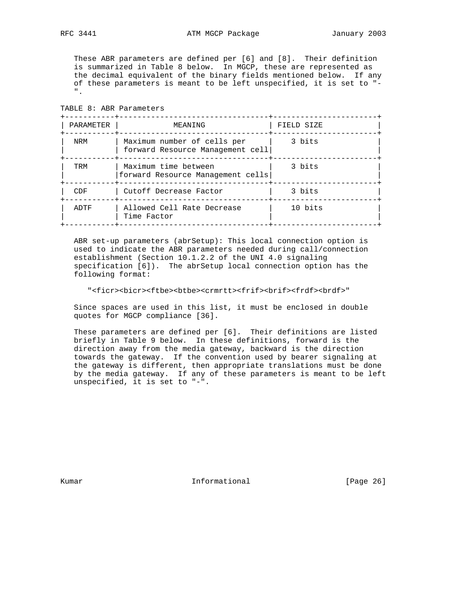TABLE 8: ABR Parameters

 These ABR parameters are defined per [6] and [8]. Their definition is summarized in Table 8 below. In MGCP, these are represented as the decimal equivalent of the binary fields mentioned below. If any of these parameters is meant to be left unspecified, it is set to "- ".

| PARAMETER | MEANING                                                         | FIELD SIZE |
|-----------|-----------------------------------------------------------------|------------|
| NRM       | Maximum number of cells per<br>forward Resource Management cell | 3 bits     |
| TRM       | Maximum time between<br>forward Resource Management cells       | 3 bits     |
| CDF       | Cutoff Decrease Factor                                          | 3 bits     |
| ADTF      | Allowed Cell Rate Decrease<br>Time Factor                       | 10 bits    |

 ABR set-up parameters (abrSetup): This local connection option is used to indicate the ABR parameters needed during call/connection establishment (Section 10.1.2.2 of the UNI 4.0 signaling specification [6]). The abrSetup local connection option has the following format:

"<ficr><bicr><ftbe><br/>>btbe><crmrtt><frif><br/>>hrif><frdf><br/>>brdf>"

 Since spaces are used in this list, it must be enclosed in double quotes for MGCP compliance [36].

 These parameters are defined per [6]. Their definitions are listed briefly in Table 9 below. In these definitions, forward is the direction away from the media gateway, backward is the direction towards the gateway. If the convention used by bearer signaling at the gateway is different, then appropriate translations must be done by the media gateway. If any of these parameters is meant to be left unspecified, it is set to "-".

Kumar **Informational Informational** [Page 26]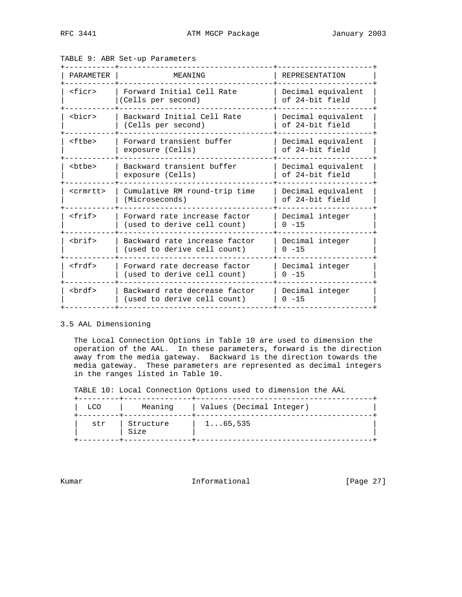| PARAMETER         | MEANING                                                      | <b>REPRESENTATION</b>                 |
|-------------------|--------------------------------------------------------------|---------------------------------------|
| <ficr></ficr>     | Forward Initial Cell Rate<br>(Cells per second)              | Decimal equivalent<br>of 24-bit field |
| <bicr></bicr>     | Backward Initial Cell Rate<br>(Cells per second)             | Decimal equivalent<br>of 24-bit field |
| $tf$              | Forward transient buffer<br>exposure (Cells)                 | Decimal equivalent<br>of 24-bit field |
| <btbe></btbe>     | Backward transient buffer<br>exposure (Cells)                | Decimal equivalent<br>of 24-bit field |
| <crmrtt></crmrtt> | Cumulative RM round-trip time<br>(Microseconds)              | Decimal equivalent<br>of 24-bit field |
| $<$ frif>         | Forward rate increase factor<br>(used to derive cell count)  | Decimal integer<br>$0 - 15$           |
| chrifs            | Backward rate increase factor<br>(used to derive cell count) | Decimal integer<br>$0 - 15$           |
| $<$ frdf>         | Forward rate decrease factor<br>(used to derive cell count)  | Decimal integer<br>$0 - 15$           |
| <brdf></brdf>     | Backward rate decrease factor<br>(used to derive cell count) | Decimal integer<br>$0 - 15$           |

TABLE 9: ABR Set-up Parameters

#### 3.5 AAL Dimensioning

 The Local Connection Options in Table 10 are used to dimension the operation of the AAL. In these parameters, forward is the direction away from the media gateway. Backward is the direction towards the media gateway. These parameters are represented as decimal integers in the ranges listed in Table 10.

TABLE 10: Local Connection Options used to dimension the AAL

| LCO | Meaning           | Values (Decimal Integer) |  |
|-----|-------------------|--------------------------|--|
| str | Structure<br>Size | $1 \ldots 65, 535$       |  |

Kumar **Informational Informational** [Page 27]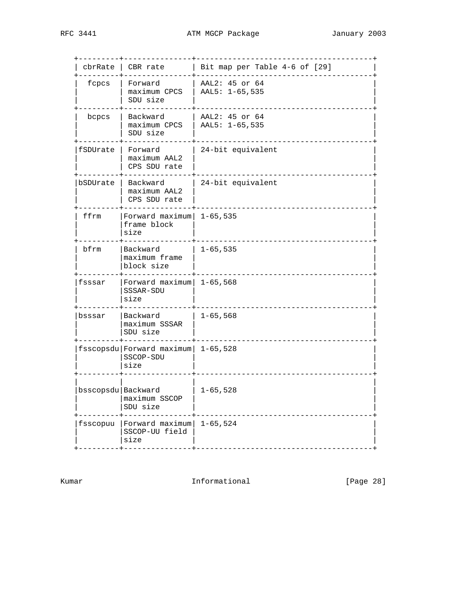|                      | $chrRate$   CBR rate                                      | Bit map per Table 4-6 of [29]    |
|----------------------|-----------------------------------------------------------|----------------------------------|
| fcpcs                | Forward<br>maximum CPCS<br>SDU size                       | AAL2: 45 or 64<br>AAL5: 1-65,535 |
| bcpcs                | Backward<br>maximum CPCS<br>SDU size                      | AAL2: 45 or 64<br>AAL5: 1-65,535 |
| fSDUrate             | Forward<br>maximum AAL2<br>CPS SDU rate                   | 24-bit equivalent                |
| bSDUrate             | Backward<br>maximum AAL2<br>CPS SDU rate                  | 24-bit equivalent                |
| ffrm                 | Forward $maximum$ 1-65,535<br>frame block<br>size         |                                  |
| bfrm                 | Backward<br>maximum frame<br>block size                   | $1 - 65, 535$                    |
| fsssar               | Forward $maximum$ 1-65,568<br>SSSAR-SDU<br>size           |                                  |
| bsssar               | Backward<br>maximum SSSAR<br>SDU size                     | $1 - 65, 568$                    |
|                      | fsscopsdu Forward maximum   1-65,528<br>SSCOP-SDU<br>size |                                  |
| bsscopsdu   Backward | maximum SSCOP<br>SDU size                                 | $1 - 65, 528$                    |
| fsscopuu             | Forward maximum<br>SSCOP-UU field<br>size                 | $1 - 65, 524$                    |

Kumar **Informational Informational** [Page 28]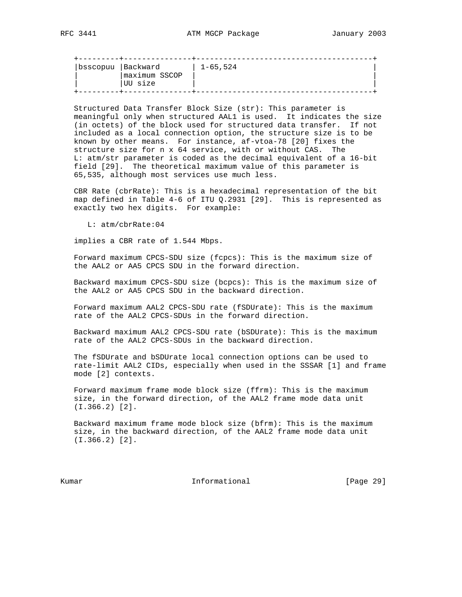| bsscopuu   Backward | lmaximum SSCOP | 1-65,524 |  |
|---------------------|----------------|----------|--|
|                     | UU size        |          |  |

 Structured Data Transfer Block Size (str): This parameter is meaningful only when structured AAL1 is used. It indicates the size (in octets) of the block used for structured data transfer. If not included as a local connection option, the structure size is to be known by other means. For instance, af-vtoa-78 [20] fixes the structure size for n x 64 service, with or without CAS. The L: atm/str parameter is coded as the decimal equivalent of a 16-bit field [29]. The theoretical maximum value of this parameter is 65,535, although most services use much less.

 CBR Rate (cbrRate): This is a hexadecimal representation of the bit map defined in Table 4-6 of ITU Q.2931 [29]. This is represented as exactly two hex digits. For example:

L: atm/cbrRate:04

implies a CBR rate of 1.544 Mbps.

 Forward maximum CPCS-SDU size (fcpcs): This is the maximum size of the AAL2 or AA5 CPCS SDU in the forward direction.

 Backward maximum CPCS-SDU size (bcpcs): This is the maximum size of the AAL2 or AA5 CPCS SDU in the backward direction.

 Forward maximum AAL2 CPCS-SDU rate (fSDUrate): This is the maximum rate of the AAL2 CPCS-SDUs in the forward direction.

 Backward maximum AAL2 CPCS-SDU rate (bSDUrate): This is the maximum rate of the AAL2 CPCS-SDUs in the backward direction.

 The fSDUrate and bSDUrate local connection options can be used to rate-limit AAL2 CIDs, especially when used in the SSSAR [1] and frame mode [2] contexts.

 Forward maximum frame mode block size (ffrm): This is the maximum size, in the forward direction, of the AAL2 frame mode data unit (I.366.2) [2].

 Backward maximum frame mode block size (bfrm): This is the maximum size, in the backward direction, of the AAL2 frame mode data unit (I.366.2) [2].

Kumar **Informational Informational** [Page 29]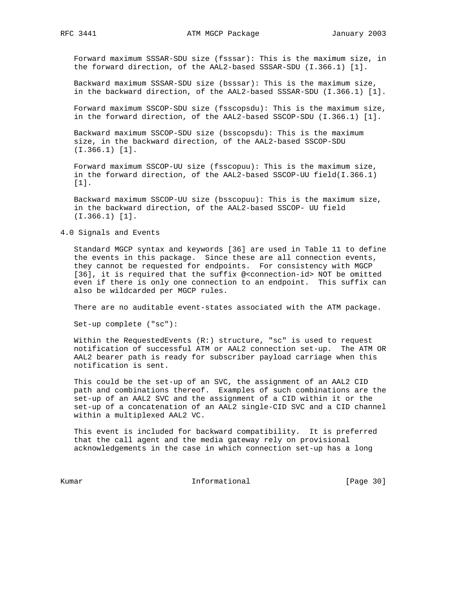Forward maximum SSSAR-SDU size (fsssar): This is the maximum size, in the forward direction, of the AAL2-based SSSAR-SDU (I.366.1) [1].

 Backward maximum SSSAR-SDU size (bsssar): This is the maximum size, in the backward direction, of the AAL2-based SSSAR-SDU (I.366.1) [1].

 Forward maximum SSCOP-SDU size (fsscopsdu): This is the maximum size, in the forward direction, of the AAL2-based SSCOP-SDU (I.366.1) [1].

 Backward maximum SSCOP-SDU size (bsscopsdu): This is the maximum size, in the backward direction, of the AAL2-based SSCOP-SDU (I.366.1) [1].

 Forward maximum SSCOP-UU size (fsscopuu): This is the maximum size, in the forward direction, of the AAL2-based SSCOP-UU field(I.366.1) [1].

 Backward maximum SSCOP-UU size (bsscopuu): This is the maximum size, in the backward direction, of the AAL2-based SSCOP- UU field (I.366.1) [1].

## 4.0 Signals and Events

 Standard MGCP syntax and keywords [36] are used in Table 11 to define the events in this package. Since these are all connection events, they cannot be requested for endpoints. For consistency with MGCP [36], it is required that the suffix @<connection-id> NOT be omitted even if there is only one connection to an endpoint. This suffix can also be wildcarded per MGCP rules.

There are no auditable event-states associated with the ATM package.

Set-up complete ("sc"):

Within the RequestedEvents  $(R: )$  structure, "sc" is used to request notification of successful ATM or AAL2 connection set-up. The ATM OR AAL2 bearer path is ready for subscriber payload carriage when this notification is sent.

 This could be the set-up of an SVC, the assignment of an AAL2 CID path and combinations thereof. Examples of such combinations are the set-up of an AAL2 SVC and the assignment of a CID within it or the set-up of a concatenation of an AAL2 single-CID SVC and a CID channel within a multiplexed AAL2 VC.

 This event is included for backward compatibility. It is preferred that the call agent and the media gateway rely on provisional acknowledgements in the case in which connection set-up has a long

Kumar **Informational Informational** [Page 30]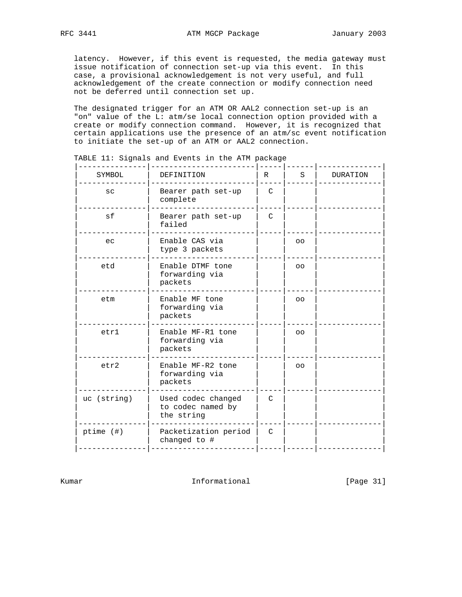latency. However, if this event is requested, the media gateway must issue notification of connection set-up via this event. In this case, a provisional acknowledgement is not very useful, and full acknowledgement of the create connection or modify connection need not be deferred until connection set up.

 The designated trigger for an ATM OR AAL2 connection set-up is an "on" value of the L: atm/se local connection option provided with a create or modify connection command. However, it is recognized that certain applications use the presence of an atm/sc event notification to initiate the set-up of an ATM or AAL2 connection.

| SYMBOL      | DEFINITION                                            | $\mathbb{R}$  | S               | DURATION |
|-------------|-------------------------------------------------------|---------------|-----------------|----------|
| SC          | Bearer path set-up<br>complete                        | $\mathcal{C}$ |                 |          |
| sf          | Bearer path set-up<br>failed                          | C             |                 |          |
| ec          | Enable CAS via<br>type 3 packets                      |               | $\overline{O}O$ |          |
| etd         | Enable DTMF tone<br>forwarding via<br>packets         |               | O <sub>O</sub>  |          |
| etm         | Enable MF tone<br>forwarding via<br>packets           |               | $\overline{O}O$ |          |
| etr1        | Enable MF-R1 tone<br>forwarding via<br>packets        |               | $\overline{O}O$ |          |
| etr2        | Enable MF-R2 tone<br>forwarding via<br>packets        |               | $\overline{O}O$ |          |
| uc (string) | Used codec changed<br>to codec named by<br>the string | $\mathcal{C}$ |                 |          |
| ptime (#)   | Packetization period<br>changed to #                  | C             |                 |          |
|             |                                                       |               |                 |          |

TABLE 11: Signals and Events in the ATM package

Kumar **Informational Informational** [Page 31]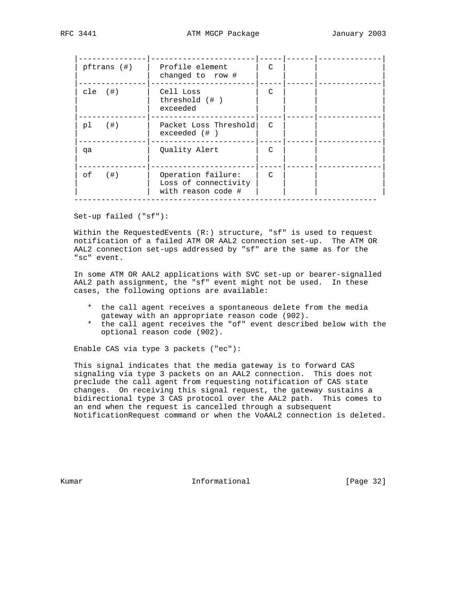| pftrans (#)  | Profile element<br>changed to row #                              | $\mathcal{C}$ |  |  |
|--------------|------------------------------------------------------------------|---------------|--|--|
| $cle$ $(#)$  | Cell Loss<br>threshold $(+ )$<br>exceeded                        | C             |  |  |
| (  # )<br>pl | Packet Loss Threshold<br>$exceeded$ $($ $#$ $)$                  | $\mathcal{C}$ |  |  |
| qa           | Quality Alert                                                    | $\mathcal{C}$ |  |  |
| (  # )<br>оf | Operation failure:<br>Loss of connectivity<br>with reason code # | $\mathcal{C}$ |  |  |

Set-up failed ("sf"):

Within the RequestedEvents  $(R: )$  structure, "sf" is used to request notification of a failed ATM OR AAL2 connection set-up. The ATM OR AAL2 connection set-ups addressed by "sf" are the same as for the "sc" event.

 In some ATM OR AAL2 applications with SVC set-up or bearer-signalled AAL2 path assignment, the "sf" event might not be used. In these cases, the following options are available:

- \* the call agent receives a spontaneous delete from the media gateway with an appropriate reason code (902).
- \* the call agent receives the "of" event described below with the optional reason code (902).

Enable CAS via type 3 packets ("ec"):

 This signal indicates that the media gateway is to forward CAS signaling via type 3 packets on an AAL2 connection. This does not preclude the call agent from requesting notification of CAS state changes. On receiving this signal request, the gateway sustains a bidirectional type 3 CAS protocol over the AAL2 path. This comes to an end when the request is cancelled through a subsequent NotificationRequest command or when the VoAAL2 connection is deleted.

Kumar **Informational Informational** [Page 32]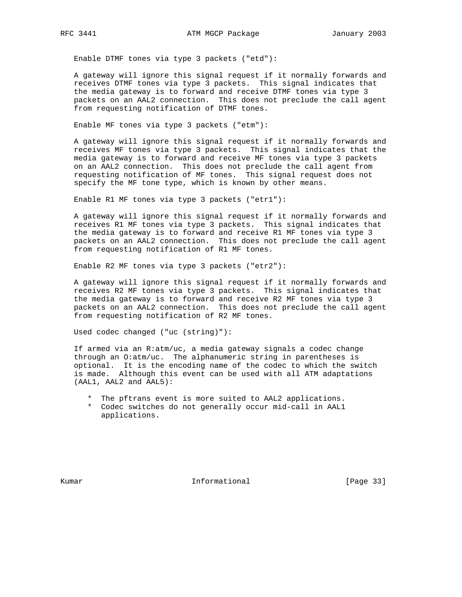Enable DTMF tones via type 3 packets ("etd"):

 A gateway will ignore this signal request if it normally forwards and receives DTMF tones via type 3 packets. This signal indicates that the media gateway is to forward and receive DTMF tones via type 3 packets on an AAL2 connection. This does not preclude the call agent from requesting notification of DTMF tones.

Enable MF tones via type 3 packets ("etm"):

 A gateway will ignore this signal request if it normally forwards and receives MF tones via type 3 packets. This signal indicates that the media gateway is to forward and receive MF tones via type 3 packets on an AAL2 connection. This does not preclude the call agent from requesting notification of MF tones. This signal request does not specify the MF tone type, which is known by other means.

Enable R1 MF tones via type 3 packets ("etr1"):

 A gateway will ignore this signal request if it normally forwards and receives R1 MF tones via type 3 packets. This signal indicates that the media gateway is to forward and receive R1 MF tones via type 3 packets on an AAL2 connection. This does not preclude the call agent from requesting notification of R1 MF tones.

Enable R2 MF tones via type 3 packets ("etr2"):

 A gateway will ignore this signal request if it normally forwards and receives R2 MF tones via type 3 packets. This signal indicates that the media gateway is to forward and receive R2 MF tones via type 3 packets on an AAL2 connection. This does not preclude the call agent from requesting notification of R2 MF tones.

Used codec changed ("uc (string)"):

 If armed via an R:atm/uc, a media gateway signals a codec change through an O:atm/uc. The alphanumeric string in parentheses is optional. It is the encoding name of the codec to which the switch is made. Although this event can be used with all ATM adaptations (AAL1, AAL2 and AAL5):

- \* The pftrans event is more suited to AAL2 applications.
- \* Codec switches do not generally occur mid-call in AAL1 applications.

Kumar **Informational Informational** [Page 33]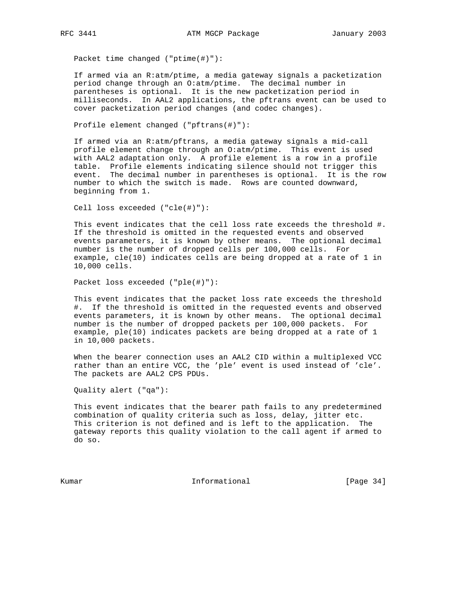Packet time changed ("ptime(#)"):

 If armed via an R:atm/ptime, a media gateway signals a packetization period change through an O:atm/ptime. The decimal number in parentheses is optional. It is the new packetization period in milliseconds. In AAL2 applications, the pftrans event can be used to cover packetization period changes (and codec changes).

Profile element changed ("pftrans(#)"):

 If armed via an R:atm/pftrans, a media gateway signals a mid-call profile element change through an O:atm/ptime. This event is used with AAL2 adaptation only. A profile element is a row in a profile table. Profile elements indicating silence should not trigger this event. The decimal number in parentheses is optional. It is the row number to which the switch is made. Rows are counted downward, beginning from 1.

Cell loss exceeded ("cle(#)"):

 This event indicates that the cell loss rate exceeds the threshold #. If the threshold is omitted in the requested events and observed events parameters, it is known by other means. The optional decimal number is the number of dropped cells per 100,000 cells. For example, cle(10) indicates cells are being dropped at a rate of 1 in 10,000 cells.

Packet loss exceeded ("ple(#)"):

 This event indicates that the packet loss rate exceeds the threshold #. If the threshold is omitted in the requested events and observed events parameters, it is known by other means. The optional decimal number is the number of dropped packets per 100,000 packets. For example, ple(10) indicates packets are being dropped at a rate of 1 in 10,000 packets.

 When the bearer connection uses an AAL2 CID within a multiplexed VCC rather than an entire VCC, the 'ple' event is used instead of 'cle'. The packets are AAL2 CPS PDUs.

Quality alert ("qa"):

 This event indicates that the bearer path fails to any predetermined combination of quality criteria such as loss, delay, jitter etc. This criterion is not defined and is left to the application. The gateway reports this quality violation to the call agent if armed to do so.

Kumar **Informational Informational** [Page 34]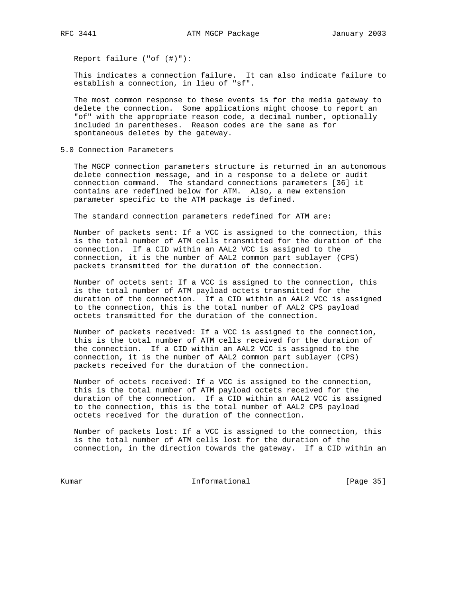Report failure ("of (#)"):

 This indicates a connection failure. It can also indicate failure to establish a connection, in lieu of "sf".

 The most common response to these events is for the media gateway to delete the connection. Some applications might choose to report an "of" with the appropriate reason code, a decimal number, optionally included in parentheses. Reason codes are the same as for spontaneous deletes by the gateway.

5.0 Connection Parameters

 The MGCP connection parameters structure is returned in an autonomous delete connection message, and in a response to a delete or audit connection command. The standard connections parameters [36] it contains are redefined below for ATM. Also, a new extension parameter specific to the ATM package is defined.

The standard connection parameters redefined for ATM are:

 Number of packets sent: If a VCC is assigned to the connection, this is the total number of ATM cells transmitted for the duration of the connection. If a CID within an AAL2 VCC is assigned to the connection, it is the number of AAL2 common part sublayer (CPS) packets transmitted for the duration of the connection.

 Number of octets sent: If a VCC is assigned to the connection, this is the total number of ATM payload octets transmitted for the duration of the connection. If a CID within an AAL2 VCC is assigned to the connection, this is the total number of AAL2 CPS payload octets transmitted for the duration of the connection.

 Number of packets received: If a VCC is assigned to the connection, this is the total number of ATM cells received for the duration of the connection. If a CID within an AAL2 VCC is assigned to the connection, it is the number of AAL2 common part sublayer (CPS) packets received for the duration of the connection.

 Number of octets received: If a VCC is assigned to the connection, this is the total number of ATM payload octets received for the duration of the connection. If a CID within an AAL2 VCC is assigned to the connection, this is the total number of AAL2 CPS payload octets received for the duration of the connection.

 Number of packets lost: If a VCC is assigned to the connection, this is the total number of ATM cells lost for the duration of the connection, in the direction towards the gateway. If a CID within an

Kumar **Informational Informational** [Page 35]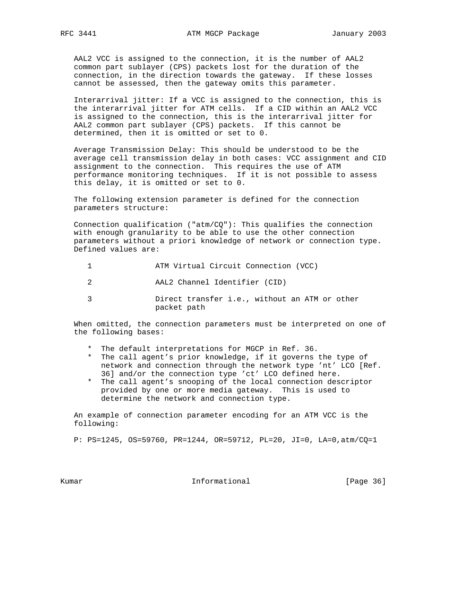AAL2 VCC is assigned to the connection, it is the number of AAL2 common part sublayer (CPS) packets lost for the duration of the connection, in the direction towards the gateway. If these losses cannot be assessed, then the gateway omits this parameter.

 Interarrival jitter: If a VCC is assigned to the connection, this is the interarrival jitter for ATM cells. If a CID within an AAL2 VCC is assigned to the connection, this is the interarrival jitter for AAL2 common part sublayer (CPS) packets. If this cannot be determined, then it is omitted or set to 0.

 Average Transmission Delay: This should be understood to be the average cell transmission delay in both cases: VCC assignment and CID assignment to the connection. This requires the use of ATM performance monitoring techniques. If it is not possible to assess this delay, it is omitted or set to 0.

 The following extension parameter is defined for the connection parameters structure:

Connection qualification ("atm/CQ"): This qualifies the connection with enough granularity to be able to use the other connection parameters without a priori knowledge of network or connection type. Defined values are:

| ATM Virtual Circuit Connection (VCC) |  |
|--------------------------------------|--|
|--------------------------------------|--|

2 AAL2 Channel Identifier (CID)

 3 Direct transfer i.e., without an ATM or other packet path

 When omitted, the connection parameters must be interpreted on one of the following bases:

- \* The default interpretations for MGCP in Ref. 36.
- \* The call agent's prior knowledge, if it governs the type of network and connection through the network type 'nt' LCO [Ref. 36] and/or the connection type 'ct' LCO defined here.
- \* The call agent's snooping of the local connection descriptor provided by one or more media gateway. This is used to determine the network and connection type.

 An example of connection parameter encoding for an ATM VCC is the following:

P: PS=1245, OS=59760, PR=1244, OR=59712, PL=20, JI=0, LA=0,atm/CQ=1

Kumar **Informational Informational** [Page 36]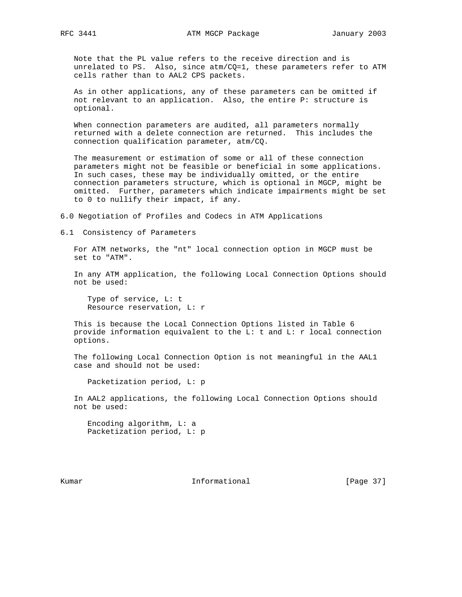Note that the PL value refers to the receive direction and is unrelated to PS. Also, since atm/CQ=1, these parameters refer to ATM cells rather than to AAL2 CPS packets.

 As in other applications, any of these parameters can be omitted if not relevant to an application. Also, the entire P: structure is optional.

 When connection parameters are audited, all parameters normally returned with a delete connection are returned. This includes the connection qualification parameter, atm/CQ.

 The measurement or estimation of some or all of these connection parameters might not be feasible or beneficial in some applications. In such cases, these may be individually omitted, or the entire connection parameters structure, which is optional in MGCP, might be omitted. Further, parameters which indicate impairments might be set to 0 to nullify their impact, if any.

6.0 Negotiation of Profiles and Codecs in ATM Applications

6.1 Consistency of Parameters

 For ATM networks, the "nt" local connection option in MGCP must be set to "ATM".

 In any ATM application, the following Local Connection Options should not be used:

 Type of service, L: t Resource reservation, L: r

 This is because the Local Connection Options listed in Table 6 provide information equivalent to the L: t and L: r local connection options.

 The following Local Connection Option is not meaningful in the AAL1 case and should not be used:

Packetization period, L: p

 In AAL2 applications, the following Local Connection Options should not be used:

 Encoding algorithm, L: a Packetization period, L: p

Kumar **Informational Informational** [Page 37]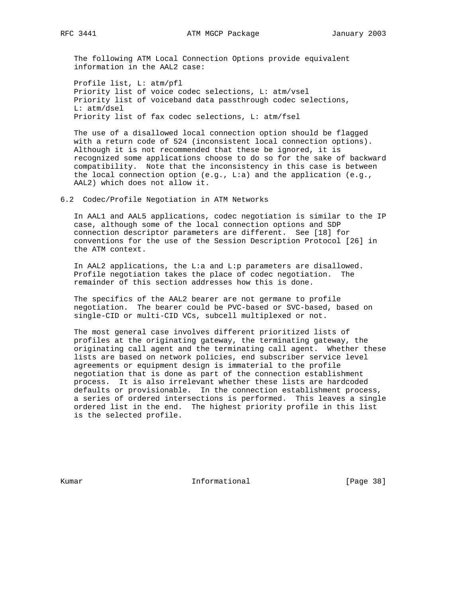The following ATM Local Connection Options provide equivalent information in the AAL2 case:

 Profile list, L: atm/pfl Priority list of voice codec selections, L: atm/vsel Priority list of voiceband data passthrough codec selections, L: atm/dsel Priority list of fax codec selections, L: atm/fsel

 The use of a disallowed local connection option should be flagged with a return code of 524 (inconsistent local connection options). Although it is not recommended that these be ignored, it is recognized some applications choose to do so for the sake of backward compatibility. Note that the inconsistency in this case is between the local connection option (e.g., L:a) and the application (e.g., AAL2) which does not allow it.

6.2 Codec/Profile Negotiation in ATM Networks

 In AAL1 and AAL5 applications, codec negotiation is similar to the IP case, although some of the local connection options and SDP connection descriptor parameters are different. See [18] for conventions for the use of the Session Description Protocol [26] in the ATM context.

 In AAL2 applications, the L:a and L:p parameters are disallowed. Profile negotiation takes the place of codec negotiation. The remainder of this section addresses how this is done.

 The specifics of the AAL2 bearer are not germane to profile negotiation. The bearer could be PVC-based or SVC-based, based on single-CID or multi-CID VCs, subcell multiplexed or not.

 The most general case involves different prioritized lists of profiles at the originating gateway, the terminating gateway, the originating call agent and the terminating call agent. Whether these lists are based on network policies, end subscriber service level agreements or equipment design is immaterial to the profile negotiation that is done as part of the connection establishment process. It is also irrelevant whether these lists are hardcoded defaults or provisionable. In the connection establishment process, a series of ordered intersections is performed. This leaves a single ordered list in the end. The highest priority profile in this list is the selected profile.

Kumar **Informational Informational** [Page 38]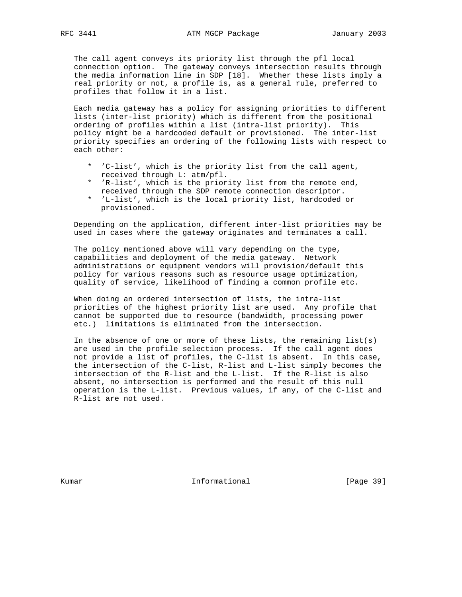The call agent conveys its priority list through the pfl local connection option. The gateway conveys intersection results through the media information line in SDP [18]. Whether these lists imply a real priority or not, a profile is, as a general rule, preferred to profiles that follow it in a list.

 Each media gateway has a policy for assigning priorities to different lists (inter-list priority) which is different from the positional ordering of profiles within a list (intra-list priority). This policy might be a hardcoded default or provisioned. The inter-list priority specifies an ordering of the following lists with respect to each other:

- \* 'C-list', which is the priority list from the call agent, received through L: atm/pfl.
- \* 'R-list', which is the priority list from the remote end, received through the SDP remote connection descriptor.
- \* 'L-list', which is the local priority list, hardcoded or provisioned.

 Depending on the application, different inter-list priorities may be used in cases where the gateway originates and terminates a call.

 The policy mentioned above will vary depending on the type, capabilities and deployment of the media gateway. Network administrations or equipment vendors will provision/default this policy for various reasons such as resource usage optimization, quality of service, likelihood of finding a common profile etc.

 When doing an ordered intersection of lists, the intra-list priorities of the highest priority list are used. Any profile that cannot be supported due to resource (bandwidth, processing power etc.) limitations is eliminated from the intersection.

In the absence of one or more of these lists, the remaining  $list(s)$  are used in the profile selection process. If the call agent does not provide a list of profiles, the C-list is absent. In this case, the intersection of the C-list, R-list and L-list simply becomes the intersection of the R-list and the L-list. If the R-list is also absent, no intersection is performed and the result of this null operation is the L-list. Previous values, if any, of the C-list and R-list are not used.

Kumar **Informational Informational** [Page 39]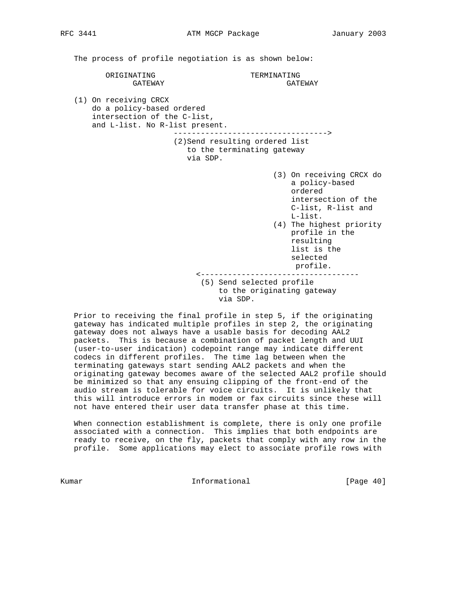The process of profile negotiation is as shown below:

ORIGINATING TERMINATING GATEWAY GATEWAY

 (1) On receiving CRCX do a policy-based ordered intersection of the C-list, and L-list. No R-list present.

> ----------------------------------> (2)Send resulting ordered list to the terminating gateway via SDP.

- (3) On receiving CRCX do a policy-based ordered intersection of the C-list, R-list and L-list.
	- (4) The highest priority profile in the resulting list is the selected profile.

 <----------------------------------- (5) Send selected profile to the originating gateway via SDP.

 Prior to receiving the final profile in step 5, if the originating gateway has indicated multiple profiles in step 2, the originating gateway does not always have a usable basis for decoding AAL2 packets. This is because a combination of packet length and UUI (user-to-user indication) codepoint range may indicate different codecs in different profiles. The time lag between when the terminating gateways start sending AAL2 packets and when the originating gateway becomes aware of the selected AAL2 profile should be minimized so that any ensuing clipping of the front-end of the audio stream is tolerable for voice circuits. It is unlikely that this will introduce errors in modem or fax circuits since these will not have entered their user data transfer phase at this time.

 When connection establishment is complete, there is only one profile associated with a connection. This implies that both endpoints are ready to receive, on the fly, packets that comply with any row in the profile. Some applications may elect to associate profile rows with

Kumar **Informational Informational** [Page 40]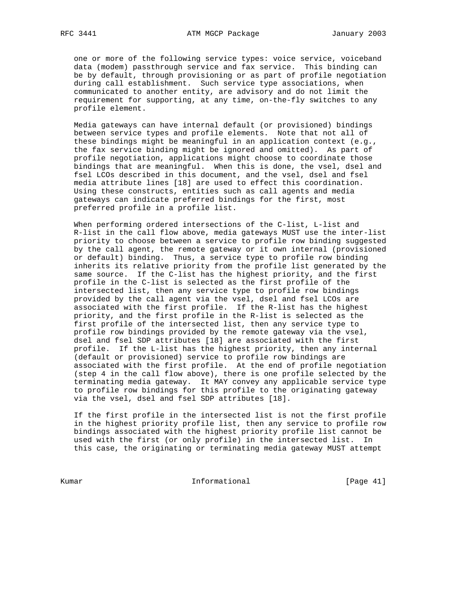one or more of the following service types: voice service, voiceband data (modem) passthrough service and fax service. This binding can be by default, through provisioning or as part of profile negotiation during call establishment. Such service type associations, when communicated to another entity, are advisory and do not limit the requirement for supporting, at any time, on-the-fly switches to any profile element.

 Media gateways can have internal default (or provisioned) bindings between service types and profile elements. Note that not all of these bindings might be meaningful in an application context (e.g., the fax service binding might be ignored and omitted). As part of profile negotiation, applications might choose to coordinate those bindings that are meaningful. When this is done, the vsel, dsel and fsel LCOs described in this document, and the vsel, dsel and fsel media attribute lines [18] are used to effect this coordination. Using these constructs, entities such as call agents and media gateways can indicate preferred bindings for the first, most preferred profile in a profile list.

 When performing ordered intersections of the C-list, L-list and R-list in the call flow above, media gateways MUST use the inter-list priority to choose between a service to profile row binding suggested by the call agent, the remote gateway or it own internal (provisioned or default) binding. Thus, a service type to profile row binding inherits its relative priority from the profile list generated by the same source. If the C-list has the highest priority, and the first profile in the C-list is selected as the first profile of the intersected list, then any service type to profile row bindings provided by the call agent via the vsel, dsel and fsel LCOs are associated with the first profile. If the R-list has the highest priority, and the first profile in the R-list is selected as the first profile of the intersected list, then any service type to profile row bindings provided by the remote gateway via the vsel, dsel and fsel SDP attributes [18] are associated with the first profile. If the L-list has the highest priority, then any internal (default or provisioned) service to profile row bindings are associated with the first profile. At the end of profile negotiation (step 4 in the call flow above), there is one profile selected by the terminating media gateway. It MAY convey any applicable service type to profile row bindings for this profile to the originating gateway via the vsel, dsel and fsel SDP attributes [18].

 If the first profile in the intersected list is not the first profile in the highest priority profile list, then any service to profile row bindings associated with the highest priority profile list cannot be used with the first (or only profile) in the intersected list. In this case, the originating or terminating media gateway MUST attempt

Kumar **Informational Informational** [Page 41]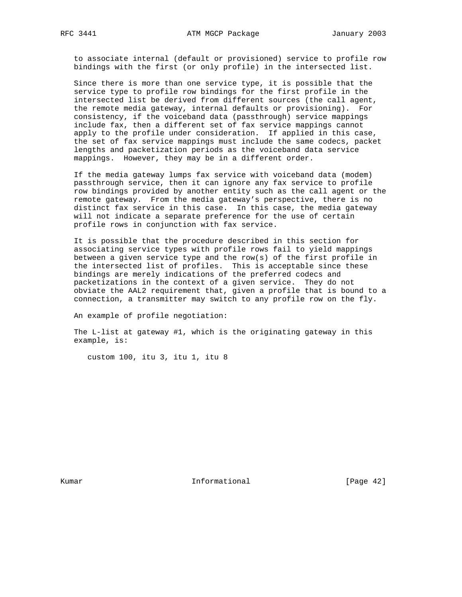to associate internal (default or provisioned) service to profile row bindings with the first (or only profile) in the intersected list.

 Since there is more than one service type, it is possible that the service type to profile row bindings for the first profile in the intersected list be derived from different sources (the call agent, the remote media gateway, internal defaults or provisioning). For consistency, if the voiceband data (passthrough) service mappings include fax, then a different set of fax service mappings cannot apply to the profile under consideration. If applied in this case, the set of fax service mappings must include the same codecs, packet lengths and packetization periods as the voiceband data service mappings. However, they may be in a different order.

 If the media gateway lumps fax service with voiceband data (modem) passthrough service, then it can ignore any fax service to profile row bindings provided by another entity such as the call agent or the remote gateway. From the media gateway's perspective, there is no distinct fax service in this case. In this case, the media gateway will not indicate a separate preference for the use of certain profile rows in conjunction with fax service.

 It is possible that the procedure described in this section for associating service types with profile rows fail to yield mappings between a given service type and the row(s) of the first profile in the intersected list of profiles. This is acceptable since these bindings are merely indications of the preferred codecs and packetizations in the context of a given service. They do not obviate the AAL2 requirement that, given a profile that is bound to a connection, a transmitter may switch to any profile row on the fly.

An example of profile negotiation:

 The L-list at gateway #1, which is the originating gateway in this example, is:

custom 100, itu 3, itu 1, itu 8

Kumar **Informational Informational** [Page 42]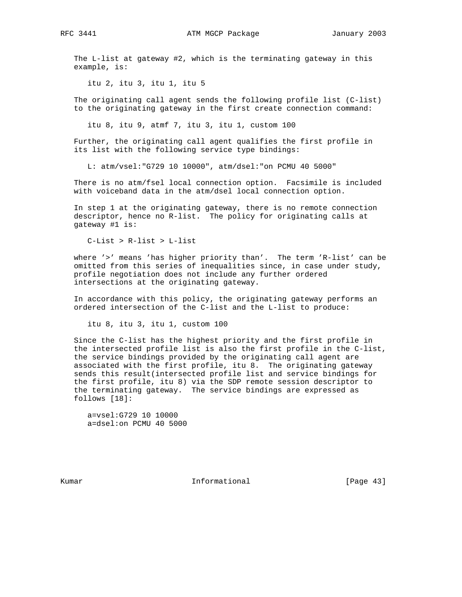RFC 3441 ATM MGCP Package January 2003

 The L-list at gateway #2, which is the terminating gateway in this example, is:

itu 2, itu 3, itu 1, itu 5

 The originating call agent sends the following profile list (C-list) to the originating gateway in the first create connection command:

itu 8, itu 9, atmf 7, itu 3, itu 1, custom 100

 Further, the originating call agent qualifies the first profile in its list with the following service type bindings:

L: atm/vsel:"G729 10 10000", atm/dsel:"on PCMU 40 5000"

 There is no atm/fsel local connection option. Facsimile is included with voiceband data in the atm/dsel local connection option.

 In step 1 at the originating gateway, there is no remote connection descriptor, hence no R-list. The policy for originating calls at gateway #1 is:

C-List > R-list > L-list

 where '>' means 'has higher priority than'. The term 'R-list' can be omitted from this series of inequalities since, in case under study, profile negotiation does not include any further ordered intersections at the originating gateway.

 In accordance with this policy, the originating gateway performs an ordered intersection of the C-list and the L-list to produce:

itu 8, itu 3, itu 1, custom 100

 Since the C-list has the highest priority and the first profile in the intersected profile list is also the first profile in the C-list, the service bindings provided by the originating call agent are associated with the first profile, itu 8. The originating gateway sends this result(intersected profile list and service bindings for the first profile, itu 8) via the SDP remote session descriptor to the terminating gateway. The service bindings are expressed as follows [18]:

 a=vsel:G729 10 10000 a=dsel:on PCMU 40 5000

Kumar **Informational Informational** [Page 43]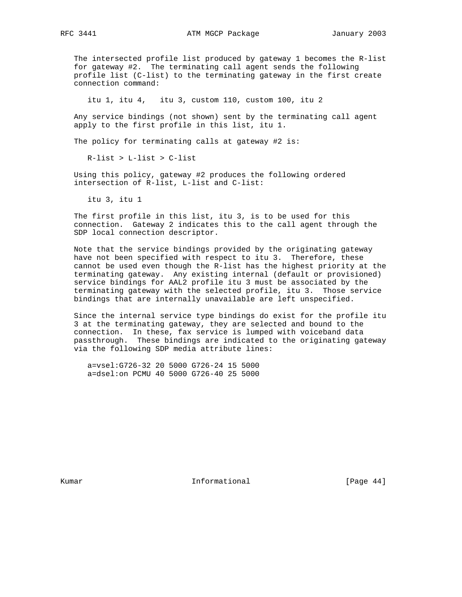The intersected profile list produced by gateway 1 becomes the R-list for gateway #2. The terminating call agent sends the following profile list (C-list) to the terminating gateway in the first create connection command:

itu 1, itu 4, itu 3, custom 110, custom 100, itu 2

 Any service bindings (not shown) sent by the terminating call agent apply to the first profile in this list, itu 1.

The policy for terminating calls at gateway #2 is:

R-list > L-list > C-list

 Using this policy, gateway #2 produces the following ordered intersection of R-list, L-list and C-list:

itu 3, itu 1

 The first profile in this list, itu 3, is to be used for this connection. Gateway 2 indicates this to the call agent through the SDP local connection descriptor.

 Note that the service bindings provided by the originating gateway have not been specified with respect to itu 3. Therefore, these cannot be used even though the R-list has the highest priority at the terminating gateway. Any existing internal (default or provisioned) service bindings for AAL2 profile itu 3 must be associated by the terminating gateway with the selected profile, itu 3. Those service bindings that are internally unavailable are left unspecified.

 Since the internal service type bindings do exist for the profile itu 3 at the terminating gateway, they are selected and bound to the connection. In these, fax service is lumped with voiceband data passthrough. These bindings are indicated to the originating gateway via the following SDP media attribute lines:

 a=vsel:G726-32 20 5000 G726-24 15 5000 a=dsel:on PCMU 40 5000 G726-40 25 5000

Kumar **Informational Informational** [Page 44]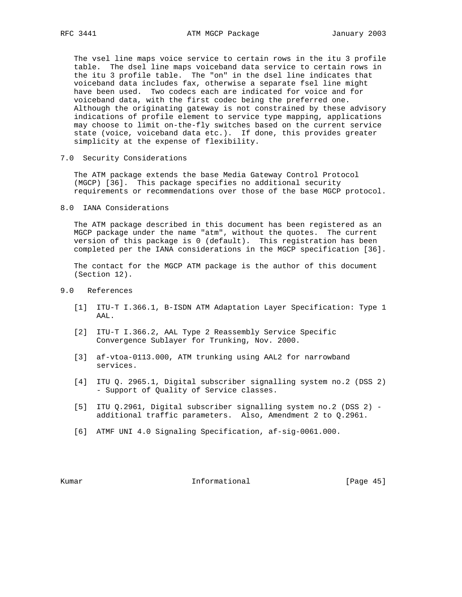The vsel line maps voice service to certain rows in the itu 3 profile table. The dsel line maps voiceband data service to certain rows in the itu 3 profile table. The "on" in the dsel line indicates that voiceband data includes fax, otherwise a separate fsel line might have been used. Two codecs each are indicated for voice and for voiceband data, with the first codec being the preferred one. Although the originating gateway is not constrained by these advisory indications of profile element to service type mapping, applications may choose to limit on-the-fly switches based on the current service state (voice, voiceband data etc.). If done, this provides greater simplicity at the expense of flexibility.

7.0 Security Considerations

 The ATM package extends the base Media Gateway Control Protocol (MGCP) [36]. This package specifies no additional security requirements or recommendations over those of the base MGCP protocol.

8.0 IANA Considerations

 The ATM package described in this document has been registered as an MGCP package under the name "atm", without the quotes. The current version of this package is 0 (default). This registration has been completed per the IANA considerations in the MGCP specification [36].

 The contact for the MGCP ATM package is the author of this document (Section 12).

- 9.0 References
	- [1] ITU-T I.366.1, B-ISDN ATM Adaptation Layer Specification: Type 1 AAL.
	- [2] ITU-T I.366.2, AAL Type 2 Reassembly Service Specific Convergence Sublayer for Trunking, Nov. 2000.
	- [3] af-vtoa-0113.000, ATM trunking using AAL2 for narrowband services.
	- [4] ITU Q. 2965.1, Digital subscriber signalling system no.2 (DSS 2) - Support of Quality of Service classes.
	- [5] ITU Q.2961, Digital subscriber signalling system no.2 (DSS 2) additional traffic parameters. Also, Amendment 2 to Q.2961.
	- [6] ATMF UNI 4.0 Signaling Specification, af-sig-0061.000.

Kumar **Informational Informational** [Page 45]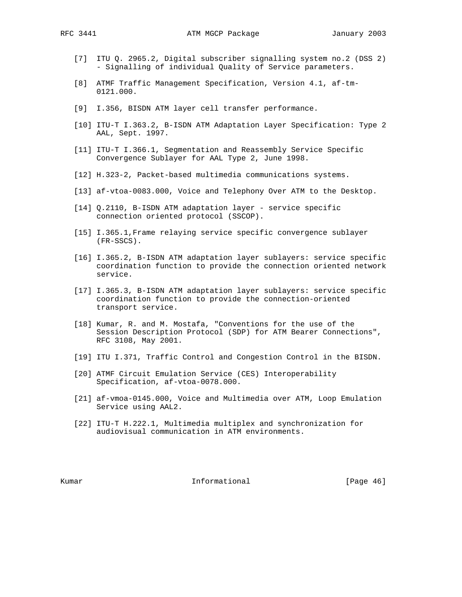- [7] ITU Q. 2965.2, Digital subscriber signalling system no.2 (DSS 2) - Signalling of individual Quality of Service parameters.
- [8] ATMF Traffic Management Specification, Version 4.1, af-tm- 0121.000.
- [9] I.356, BISDN ATM layer cell transfer performance.
- [10] ITU-T I.363.2, B-ISDN ATM Adaptation Layer Specification: Type 2 AAL, Sept. 1997.
- [11] ITU-T I.366.1, Segmentation and Reassembly Service Specific Convergence Sublayer for AAL Type 2, June 1998.
- [12] H.323-2, Packet-based multimedia communications systems.
- [13] af-vtoa-0083.000, Voice and Telephony Over ATM to the Desktop.
- [14] Q.2110, B-ISDN ATM adaptation layer service specific connection oriented protocol (SSCOP).
- [15] I.365.1,Frame relaying service specific convergence sublayer (FR-SSCS).
- [16] I.365.2, B-ISDN ATM adaptation layer sublayers: service specific coordination function to provide the connection oriented network service.
- [17] I.365.3, B-ISDN ATM adaptation layer sublayers: service specific coordination function to provide the connection-oriented transport service.
- [18] Kumar, R. and M. Mostafa, "Conventions for the use of the Session Description Protocol (SDP) for ATM Bearer Connections", RFC 3108, May 2001.
- [19] ITU I.371, Traffic Control and Congestion Control in the BISDN.
- [20] ATMF Circuit Emulation Service (CES) Interoperability Specification, af-vtoa-0078.000.
- [21] af-vmoa-0145.000, Voice and Multimedia over ATM, Loop Emulation Service using AAL2.
- [22] ITU-T H.222.1, Multimedia multiplex and synchronization for audiovisual communication in ATM environments.

Kumar **Informational Informational** [Page 46]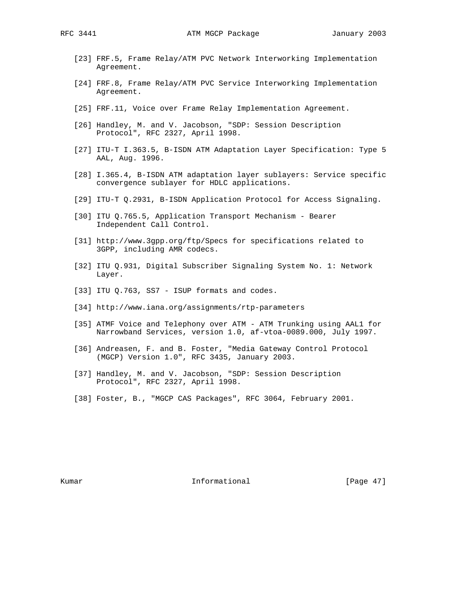- [23] FRF.5, Frame Relay/ATM PVC Network Interworking Implementation Agreement.
- [24] FRF.8, Frame Relay/ATM PVC Service Interworking Implementation Agreement.
- [25] FRF.11, Voice over Frame Relay Implementation Agreement.
- [26] Handley, M. and V. Jacobson, "SDP: Session Description Protocol", RFC 2327, April 1998.
- [27] ITU-T I.363.5, B-ISDN ATM Adaptation Layer Specification: Type 5 AAL, Aug. 1996.
- [28] I.365.4, B-ISDN ATM adaptation layer sublayers: Service specific convergence sublayer for HDLC applications.
- [29] ITU-T Q.2931, B-ISDN Application Protocol for Access Signaling.
- [30] ITU Q.765.5, Application Transport Mechanism Bearer Independent Call Control.
- [31] http://www.3gpp.org/ftp/Specs for specifications related to 3GPP, including AMR codecs.
- [32] ITU Q.931, Digital Subscriber Signaling System No. 1: Network Layer.
- [33] ITU Q.763, SS7 ISUP formats and codes.
- [34] http://www.iana.org/assignments/rtp-parameters
- [35] ATMF Voice and Telephony over ATM ATM Trunking using AAL1 for Narrowband Services, version 1.0, af-vtoa-0089.000, July 1997.
- [36] Andreasen, F. and B. Foster, "Media Gateway Control Protocol (MGCP) Version 1.0", RFC 3435, January 2003.
- [37] Handley, M. and V. Jacobson, "SDP: Session Description Protocol", RFC 2327, April 1998.
- [38] Foster, B., "MGCP CAS Packages", RFC 3064, February 2001.

Kumar **Informational Informational** [Page 47]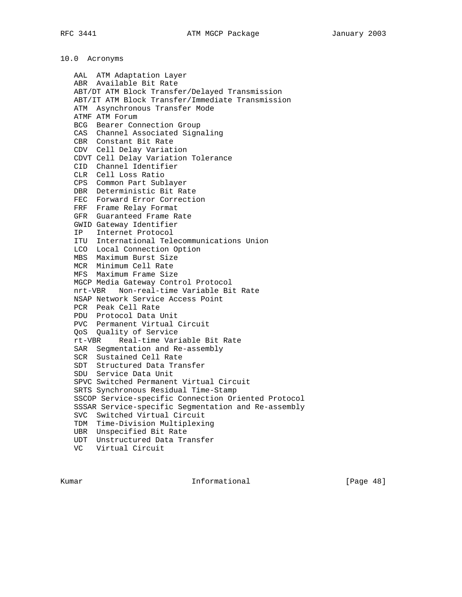# 10.0 Acronyms

 AAL ATM Adaptation Layer ABR Available Bit Rate ABT/DT ATM Block Transfer/Delayed Transmission ABT/IT ATM Block Transfer/Immediate Transmission ATM Asynchronous Transfer Mode ATMF ATM Forum BCG Bearer Connection Group CAS Channel Associated Signaling CBR Constant Bit Rate CDV Cell Delay Variation CDVT Cell Delay Variation Tolerance CID Channel Identifier CLR Cell Loss Ratio CPS Common Part Sublayer DBR Deterministic Bit Rate FEC Forward Error Correction FRF Frame Relay Format GFR Guaranteed Frame Rate GWID Gateway Identifier IP Internet Protocol ITU International Telecommunications Union LCO Local Connection Option MBS Maximum Burst Size MCR Minimum Cell Rate MFS Maximum Frame Size MGCP Media Gateway Control Protocol nrt-VBR Non-real-time Variable Bit Rate NSAP Network Service Access Point PCR Peak Cell Rate PDU Protocol Data Unit PVC Permanent Virtual Circuit QoS Quality of Service rt-VBR Real-time Variable Bit Rate SAR Segmentation and Re-assembly SCR Sustained Cell Rate SDT Structured Data Transfer SDU Service Data Unit SPVC Switched Permanent Virtual Circuit SRTS Synchronous Residual Time-Stamp SSCOP Service-specific Connection Oriented Protocol SSSAR Service-specific Segmentation and Re-assembly SVC Switched Virtual Circuit TDM Time-Division Multiplexing UBR Unspecified Bit Rate UDT Unstructured Data Transfer VC Virtual Circuit

Kumar **Informational Informational Example 18**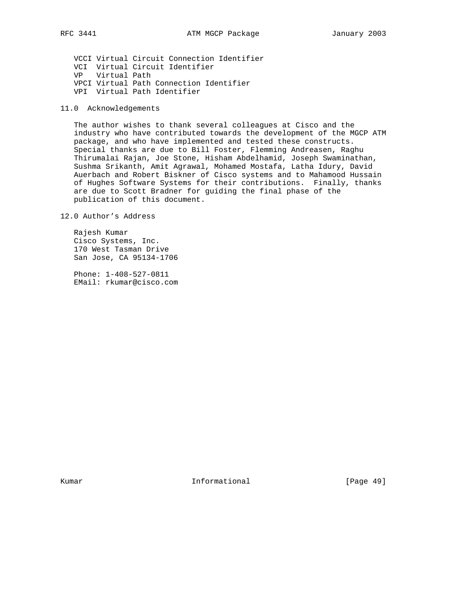VCCI Virtual Circuit Connection Identifier VCI Virtual Circuit Identifier VP Virtual Path VPCI Virtual Path Connection Identifier VPI Virtual Path Identifier

11.0 Acknowledgements

 The author wishes to thank several colleagues at Cisco and the industry who have contributed towards the development of the MGCP ATM package, and who have implemented and tested these constructs. Special thanks are due to Bill Foster, Flemming Andreasen, Raghu Thirumalai Rajan, Joe Stone, Hisham Abdelhamid, Joseph Swaminathan, Sushma Srikanth, Amit Agrawal, Mohamed Mostafa, Latha Idury, David Auerbach and Robert Biskner of Cisco systems and to Mahamood Hussain of Hughes Software Systems for their contributions. Finally, thanks are due to Scott Bradner for guiding the final phase of the publication of this document.

12.0 Author's Address

 Rajesh Kumar Cisco Systems, Inc. 170 West Tasman Drive San Jose, CA 95134-1706

 Phone: 1-408-527-0811 EMail: rkumar@cisco.com

Kumar **Informational Informational** [Page 49]